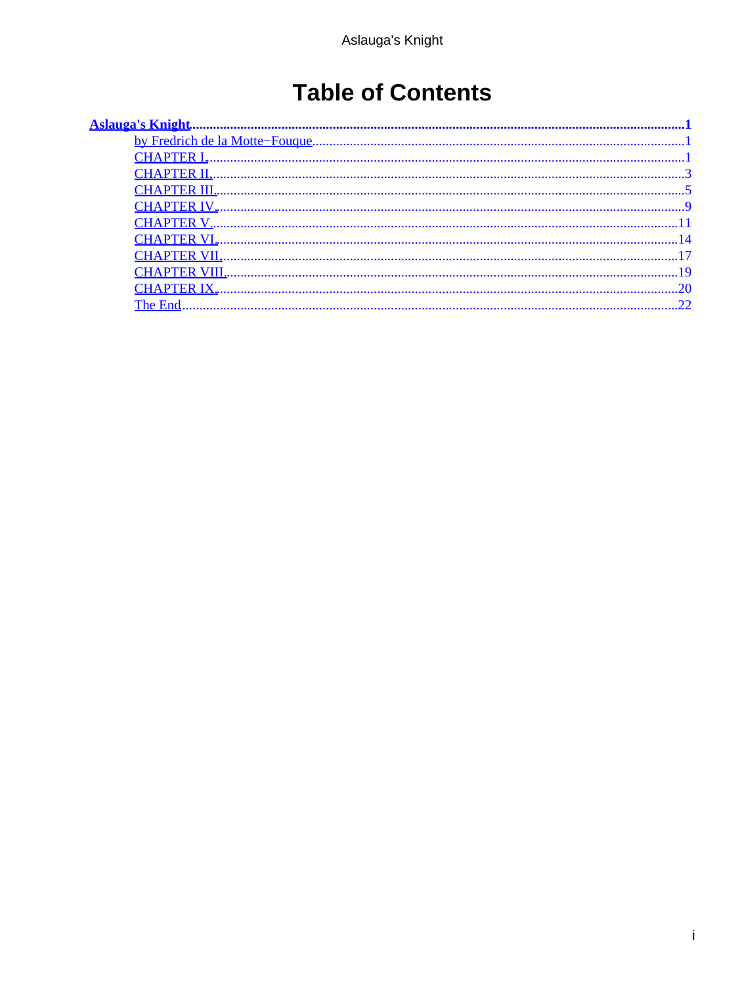# **Table of Contents**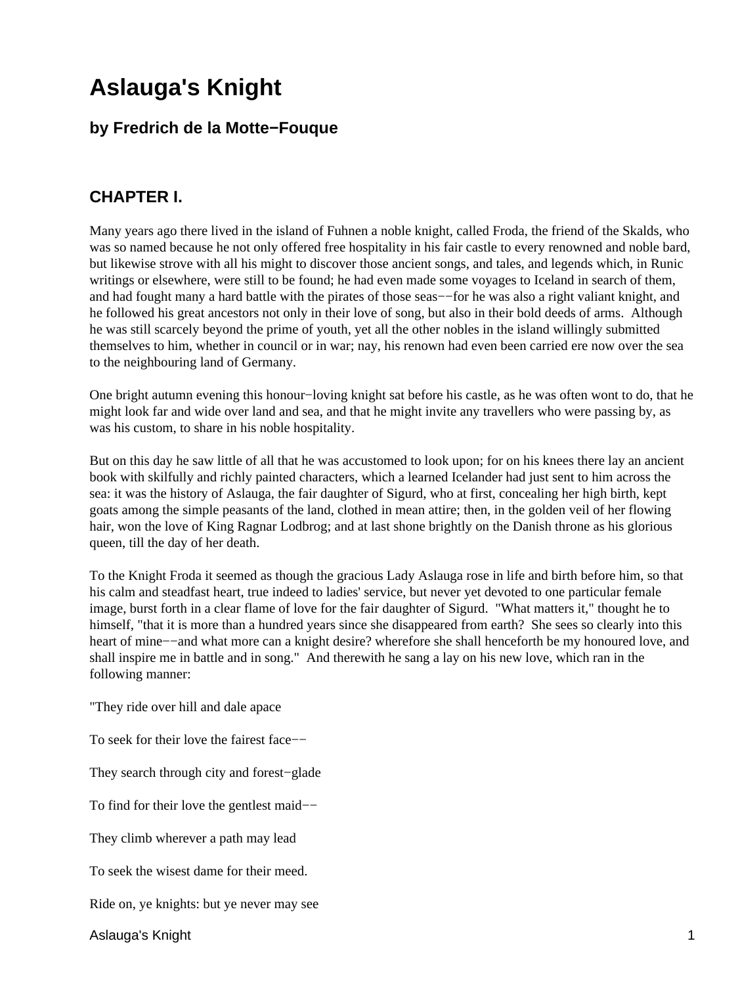## <span id="page-2-0"></span>**by Fredrich de la Motte−Fouque**

## **CHAPTER I.**

Many years ago there lived in the island of Fuhnen a noble knight, called Froda, the friend of the Skalds, who was so named because he not only offered free hospitality in his fair castle to every renowned and noble bard, but likewise strove with all his might to discover those ancient songs, and tales, and legends which, in Runic writings or elsewhere, were still to be found; he had even made some voyages to Iceland in search of them, and had fought many a hard battle with the pirates of those seas−−for he was also a right valiant knight, and he followed his great ancestors not only in their love of song, but also in their bold deeds of arms. Although he was still scarcely beyond the prime of youth, yet all the other nobles in the island willingly submitted themselves to him, whether in council or in war; nay, his renown had even been carried ere now over the sea to the neighbouring land of Germany.

One bright autumn evening this honour−loving knight sat before his castle, as he was often wont to do, that he might look far and wide over land and sea, and that he might invite any travellers who were passing by, as was his custom, to share in his noble hospitality.

But on this day he saw little of all that he was accustomed to look upon; for on his knees there lay an ancient book with skilfully and richly painted characters, which a learned Icelander had just sent to him across the sea: it was the history of Aslauga, the fair daughter of Sigurd, who at first, concealing her high birth, kept goats among the simple peasants of the land, clothed in mean attire; then, in the golden veil of her flowing hair, won the love of King Ragnar Lodbrog; and at last shone brightly on the Danish throne as his glorious queen, till the day of her death.

To the Knight Froda it seemed as though the gracious Lady Aslauga rose in life and birth before him, so that his calm and steadfast heart, true indeed to ladies' service, but never yet devoted to one particular female image, burst forth in a clear flame of love for the fair daughter of Sigurd. "What matters it," thought he to himself, "that it is more than a hundred years since she disappeared from earth? She sees so clearly into this heart of mine−−and what more can a knight desire? wherefore she shall henceforth be my honoured love, and shall inspire me in battle and in song." And therewith he sang a lay on his new love, which ran in the following manner:

"They ride over hill and dale apace

To seek for their love the fairest face—−

They search through city and forest−glade

To find for their love the gentlest maid−−

They climb wherever a path may lead

To seek the wisest dame for their meed.

Ride on, ye knights: but ye never may see

Aslauga's Knight 1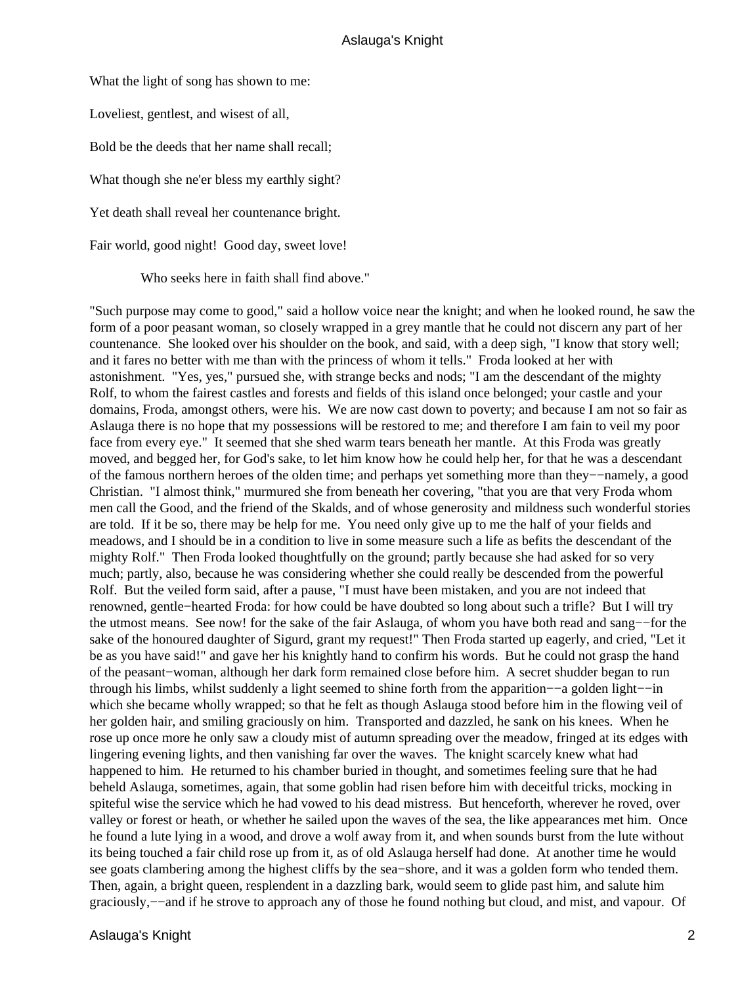What the light of song has shown to me:

Loveliest, gentlest, and wisest of all,

Bold be the deeds that her name shall recall;

What though she ne'er bless my earthly sight?

Yet death shall reveal her countenance bright.

Fair world, good night! Good day, sweet love!

Who seeks here in faith shall find above."

"Such purpose may come to good," said a hollow voice near the knight; and when he looked round, he saw the form of a poor peasant woman, so closely wrapped in a grey mantle that he could not discern any part of her countenance. She looked over his shoulder on the book, and said, with a deep sigh, "I know that story well; and it fares no better with me than with the princess of whom it tells." Froda looked at her with astonishment. "Yes, yes," pursued she, with strange becks and nods; "I am the descendant of the mighty Rolf, to whom the fairest castles and forests and fields of this island once belonged; your castle and your domains, Froda, amongst others, were his. We are now cast down to poverty; and because I am not so fair as Aslauga there is no hope that my possessions will be restored to me; and therefore I am fain to veil my poor face from every eye." It seemed that she shed warm tears beneath her mantle. At this Froda was greatly moved, and begged her, for God's sake, to let him know how he could help her, for that he was a descendant of the famous northern heroes of the olden time; and perhaps yet something more than they−−namely, a good Christian. "I almost think," murmured she from beneath her covering, "that you are that very Froda whom men call the Good, and the friend of the Skalds, and of whose generosity and mildness such wonderful stories are told. If it be so, there may be help for me. You need only give up to me the half of your fields and meadows, and I should be in a condition to live in some measure such a life as befits the descendant of the mighty Rolf." Then Froda looked thoughtfully on the ground; partly because she had asked for so very much; partly, also, because he was considering whether she could really be descended from the powerful Rolf. But the veiled form said, after a pause, "I must have been mistaken, and you are not indeed that renowned, gentle−hearted Froda: for how could be have doubted so long about such a trifle? But I will try the utmost means. See now! for the sake of the fair Aslauga, of whom you have both read and sang−−for the sake of the honoured daughter of Sigurd, grant my request!" Then Froda started up eagerly, and cried, "Let it be as you have said!" and gave her his knightly hand to confirm his words. But he could not grasp the hand of the peasant−woman, although her dark form remained close before him. A secret shudder began to run through his limbs, whilst suddenly a light seemed to shine forth from the apparition−−a golden light−−in which she became wholly wrapped; so that he felt as though Aslauga stood before him in the flowing veil of her golden hair, and smiling graciously on him. Transported and dazzled, he sank on his knees. When he rose up once more he only saw a cloudy mist of autumn spreading over the meadow, fringed at its edges with lingering evening lights, and then vanishing far over the waves. The knight scarcely knew what had happened to him. He returned to his chamber buried in thought, and sometimes feeling sure that he had beheld Aslauga, sometimes, again, that some goblin had risen before him with deceitful tricks, mocking in spiteful wise the service which he had vowed to his dead mistress. But henceforth, wherever he roved, over valley or forest or heath, or whether he sailed upon the waves of the sea, the like appearances met him. Once he found a lute lying in a wood, and drove a wolf away from it, and when sounds burst from the lute without its being touched a fair child rose up from it, as of old Aslauga herself had done. At another time he would see goats clambering among the highest cliffs by the sea−shore, and it was a golden form who tended them. Then, again, a bright queen, resplendent in a dazzling bark, would seem to glide past him, and salute him graciously,−−and if he strove to approach any of those he found nothing but cloud, and mist, and vapour. Of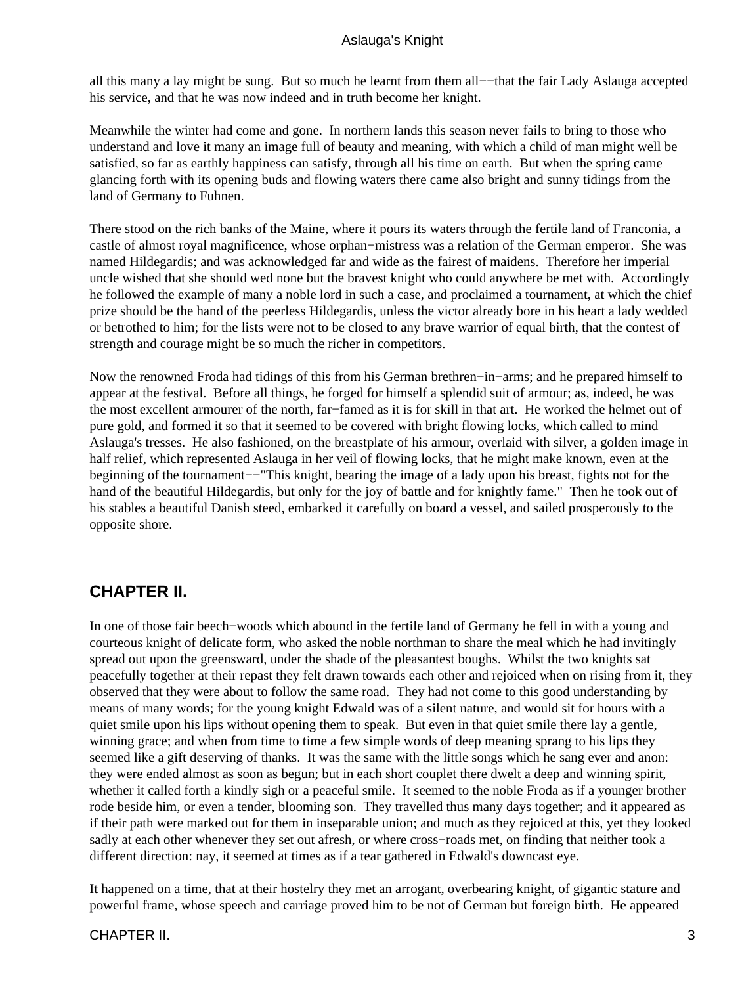<span id="page-4-0"></span>all this many a lay might be sung. But so much he learnt from them all−−that the fair Lady Aslauga accepted his service, and that he was now indeed and in truth become her knight.

Meanwhile the winter had come and gone. In northern lands this season never fails to bring to those who understand and love it many an image full of beauty and meaning, with which a child of man might well be satisfied, so far as earthly happiness can satisfy, through all his time on earth. But when the spring came glancing forth with its opening buds and flowing waters there came also bright and sunny tidings from the land of Germany to Fuhnen.

There stood on the rich banks of the Maine, where it pours its waters through the fertile land of Franconia, a castle of almost royal magnificence, whose orphan−mistress was a relation of the German emperor. She was named Hildegardis; and was acknowledged far and wide as the fairest of maidens. Therefore her imperial uncle wished that she should wed none but the bravest knight who could anywhere be met with. Accordingly he followed the example of many a noble lord in such a case, and proclaimed a tournament, at which the chief prize should be the hand of the peerless Hildegardis, unless the victor already bore in his heart a lady wedded or betrothed to him; for the lists were not to be closed to any brave warrior of equal birth, that the contest of strength and courage might be so much the richer in competitors.

Now the renowned Froda had tidings of this from his German brethren−in−arms; and he prepared himself to appear at the festival. Before all things, he forged for himself a splendid suit of armour; as, indeed, he was the most excellent armourer of the north, far−famed as it is for skill in that art. He worked the helmet out of pure gold, and formed it so that it seemed to be covered with bright flowing locks, which called to mind Aslauga's tresses. He also fashioned, on the breastplate of his armour, overlaid with silver, a golden image in half relief, which represented Aslauga in her veil of flowing locks, that he might make known, even at the beginning of the tournament−−"This knight, bearing the image of a lady upon his breast, fights not for the hand of the beautiful Hildegardis, but only for the joy of battle and for knightly fame." Then he took out of his stables a beautiful Danish steed, embarked it carefully on board a vessel, and sailed prosperously to the opposite shore.

## **CHAPTER II.**

In one of those fair beech−woods which abound in the fertile land of Germany he fell in with a young and courteous knight of delicate form, who asked the noble northman to share the meal which he had invitingly spread out upon the greensward, under the shade of the pleasantest boughs. Whilst the two knights sat peacefully together at their repast they felt drawn towards each other and rejoiced when on rising from it, they observed that they were about to follow the same road. They had not come to this good understanding by means of many words; for the young knight Edwald was of a silent nature, and would sit for hours with a quiet smile upon his lips without opening them to speak. But even in that quiet smile there lay a gentle, winning grace; and when from time to time a few simple words of deep meaning sprang to his lips they seemed like a gift deserving of thanks. It was the same with the little songs which he sang ever and anon: they were ended almost as soon as begun; but in each short couplet there dwelt a deep and winning spirit, whether it called forth a kindly sigh or a peaceful smile. It seemed to the noble Froda as if a younger brother rode beside him, or even a tender, blooming son. They travelled thus many days together; and it appeared as if their path were marked out for them in inseparable union; and much as they rejoiced at this, yet they looked sadly at each other whenever they set out afresh, or where cross−roads met, on finding that neither took a different direction: nay, it seemed at times as if a tear gathered in Edwald's downcast eye.

It happened on a time, that at their hostelry they met an arrogant, overbearing knight, of gigantic stature and powerful frame, whose speech and carriage proved him to be not of German but foreign birth. He appeared

#### CHAPTER II. 3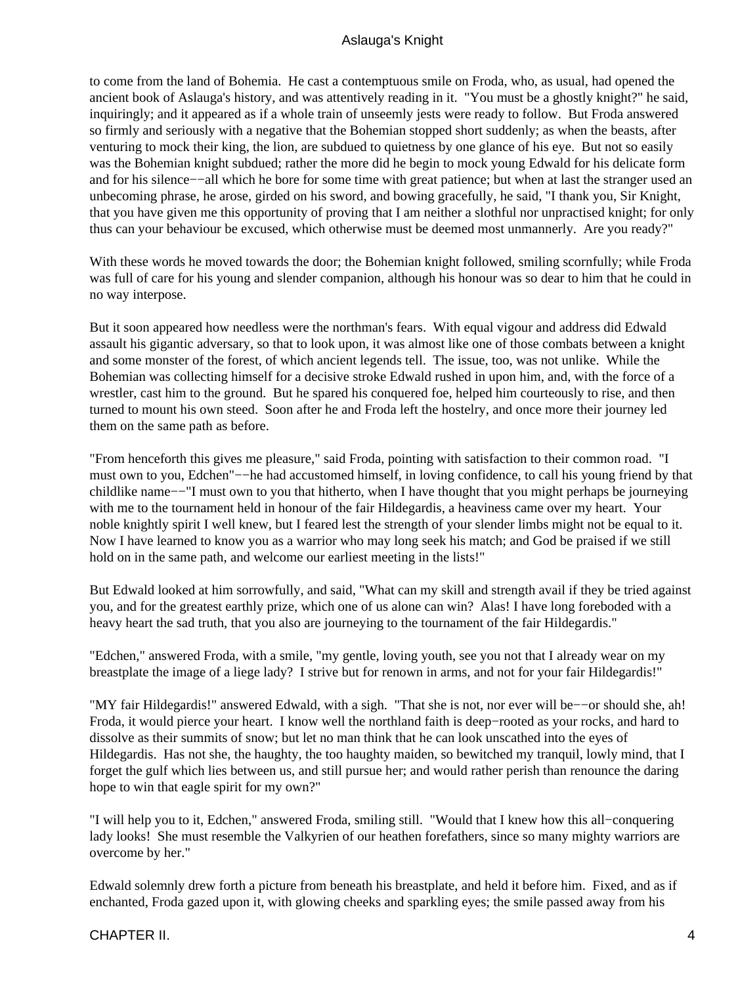to come from the land of Bohemia. He cast a contemptuous smile on Froda, who, as usual, had opened the ancient book of Aslauga's history, and was attentively reading in it. "You must be a ghostly knight?" he said, inquiringly; and it appeared as if a whole train of unseemly jests were ready to follow. But Froda answered so firmly and seriously with a negative that the Bohemian stopped short suddenly; as when the beasts, after venturing to mock their king, the lion, are subdued to quietness by one glance of his eye. But not so easily was the Bohemian knight subdued; rather the more did he begin to mock young Edwald for his delicate form and for his silence−−all which he bore for some time with great patience; but when at last the stranger used an unbecoming phrase, he arose, girded on his sword, and bowing gracefully, he said, "I thank you, Sir Knight, that you have given me this opportunity of proving that I am neither a slothful nor unpractised knight; for only thus can your behaviour be excused, which otherwise must be deemed most unmannerly. Are you ready?"

With these words he moved towards the door; the Bohemian knight followed, smiling scornfully; while Froda was full of care for his young and slender companion, although his honour was so dear to him that he could in no way interpose.

But it soon appeared how needless were the northman's fears. With equal vigour and address did Edwald assault his gigantic adversary, so that to look upon, it was almost like one of those combats between a knight and some monster of the forest, of which ancient legends tell. The issue, too, was not unlike. While the Bohemian was collecting himself for a decisive stroke Edwald rushed in upon him, and, with the force of a wrestler, cast him to the ground. But he spared his conquered foe, helped him courteously to rise, and then turned to mount his own steed. Soon after he and Froda left the hostelry, and once more their journey led them on the same path as before.

"From henceforth this gives me pleasure," said Froda, pointing with satisfaction to their common road. "I must own to you, Edchen"−−he had accustomed himself, in loving confidence, to call his young friend by that childlike name−−"I must own to you that hitherto, when I have thought that you might perhaps be journeying with me to the tournament held in honour of the fair Hildegardis, a heaviness came over my heart. Your noble knightly spirit I well knew, but I feared lest the strength of your slender limbs might not be equal to it. Now I have learned to know you as a warrior who may long seek his match; and God be praised if we still hold on in the same path, and welcome our earliest meeting in the lists!"

But Edwald looked at him sorrowfully, and said, "What can my skill and strength avail if they be tried against you, and for the greatest earthly prize, which one of us alone can win? Alas! I have long foreboded with a heavy heart the sad truth, that you also are journeying to the tournament of the fair Hildegardis."

"Edchen," answered Froda, with a smile, "my gentle, loving youth, see you not that I already wear on my breastplate the image of a liege lady? I strive but for renown in arms, and not for your fair Hildegardis!"

"MY fair Hildegardis!" answered Edwald, with a sigh. "That she is not, nor ever will be−−or should she, ah! Froda, it would pierce your heart. I know well the northland faith is deep−rooted as your rocks, and hard to dissolve as their summits of snow; but let no man think that he can look unscathed into the eyes of Hildegardis. Has not she, the haughty, the too haughty maiden, so bewitched my tranquil, lowly mind, that I forget the gulf which lies between us, and still pursue her; and would rather perish than renounce the daring hope to win that eagle spirit for my own?"

"I will help you to it, Edchen," answered Froda, smiling still. "Would that I knew how this all−conquering lady looks! She must resemble the Valkyrien of our heathen forefathers, since so many mighty warriors are overcome by her."

Edwald solemnly drew forth a picture from beneath his breastplate, and held it before him. Fixed, and as if enchanted, Froda gazed upon it, with glowing cheeks and sparkling eyes; the smile passed away from his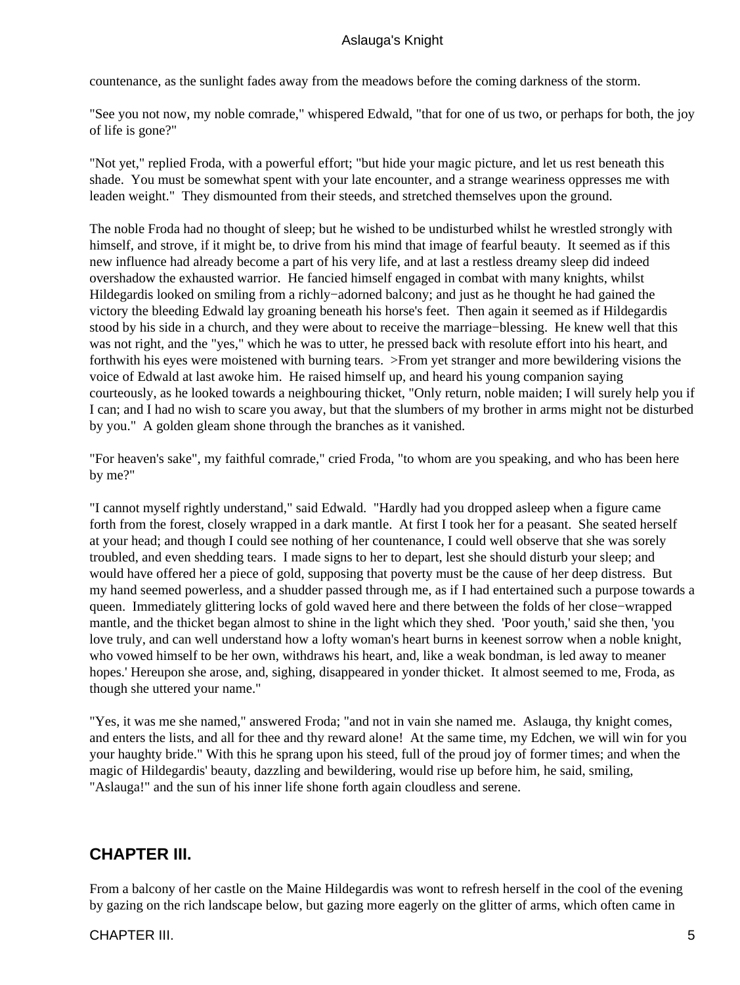<span id="page-6-0"></span>countenance, as the sunlight fades away from the meadows before the coming darkness of the storm.

"See you not now, my noble comrade," whispered Edwald, "that for one of us two, or perhaps for both, the joy of life is gone?"

"Not yet," replied Froda, with a powerful effort; "but hide your magic picture, and let us rest beneath this shade. You must be somewhat spent with your late encounter, and a strange weariness oppresses me with leaden weight." They dismounted from their steeds, and stretched themselves upon the ground.

The noble Froda had no thought of sleep; but he wished to be undisturbed whilst he wrestled strongly with himself, and strove, if it might be, to drive from his mind that image of fearful beauty. It seemed as if this new influence had already become a part of his very life, and at last a restless dreamy sleep did indeed overshadow the exhausted warrior. He fancied himself engaged in combat with many knights, whilst Hildegardis looked on smiling from a richly−adorned balcony; and just as he thought he had gained the victory the bleeding Edwald lay groaning beneath his horse's feet. Then again it seemed as if Hildegardis stood by his side in a church, and they were about to receive the marriage−blessing. He knew well that this was not right, and the "yes," which he was to utter, he pressed back with resolute effort into his heart, and forthwith his eyes were moistened with burning tears. >From yet stranger and more bewildering visions the voice of Edwald at last awoke him. He raised himself up, and heard his young companion saying courteously, as he looked towards a neighbouring thicket, "Only return, noble maiden; I will surely help you if I can; and I had no wish to scare you away, but that the slumbers of my brother in arms might not be disturbed by you." A golden gleam shone through the branches as it vanished.

"For heaven's sake", my faithful comrade," cried Froda, "to whom are you speaking, and who has been here by me?"

"I cannot myself rightly understand," said Edwald. "Hardly had you dropped asleep when a figure came forth from the forest, closely wrapped in a dark mantle. At first I took her for a peasant. She seated herself at your head; and though I could see nothing of her countenance, I could well observe that she was sorely troubled, and even shedding tears. I made signs to her to depart, lest she should disturb your sleep; and would have offered her a piece of gold, supposing that poverty must be the cause of her deep distress. But my hand seemed powerless, and a shudder passed through me, as if I had entertained such a purpose towards a queen. Immediately glittering locks of gold waved here and there between the folds of her close−wrapped mantle, and the thicket began almost to shine in the light which they shed. 'Poor youth,' said she then, 'you love truly, and can well understand how a lofty woman's heart burns in keenest sorrow when a noble knight, who vowed himself to be her own, withdraws his heart, and, like a weak bondman, is led away to meaner hopes.' Hereupon she arose, and, sighing, disappeared in yonder thicket. It almost seemed to me, Froda, as though she uttered your name."

"Yes, it was me she named," answered Froda; "and not in vain she named me. Aslauga, thy knight comes, and enters the lists, and all for thee and thy reward alone! At the same time, my Edchen, we will win for you your haughty bride." With this he sprang upon his steed, full of the proud joy of former times; and when the magic of Hildegardis' beauty, dazzling and bewildering, would rise up before him, he said, smiling, "Aslauga!" and the sun of his inner life shone forth again cloudless and serene.

## **CHAPTER III.**

From a balcony of her castle on the Maine Hildegardis was wont to refresh herself in the cool of the evening by gazing on the rich landscape below, but gazing more eagerly on the glitter of arms, which often came in

## CHAPTER III. 5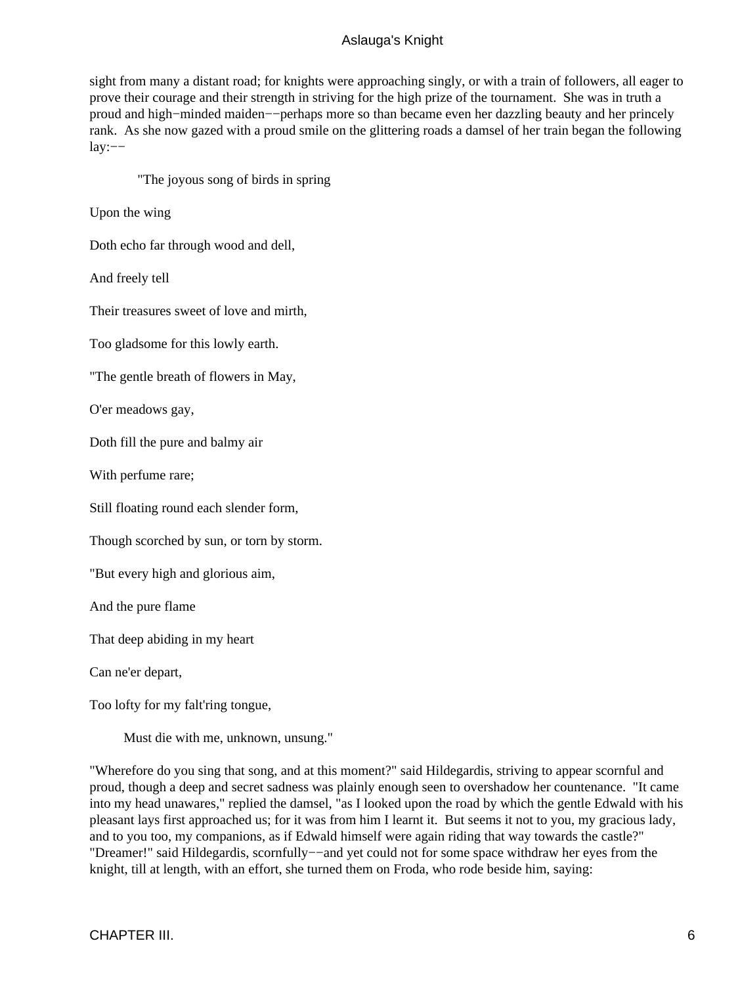sight from many a distant road; for knights were approaching singly, or with a train of followers, all eager to prove their courage and their strength in striving for the high prize of the tournament. She was in truth a proud and high−minded maiden−−perhaps more so than became even her dazzling beauty and her princely rank. As she now gazed with a proud smile on the glittering roads a damsel of her train began the following lay:−−

"The joyous song of birds in spring

Upon the wing

Doth echo far through wood and dell,

And freely tell

Their treasures sweet of love and mirth,

Too gladsome for this lowly earth.

"The gentle breath of flowers in May,

O'er meadows gay,

Doth fill the pure and balmy air

With perfume rare;

Still floating round each slender form,

Though scorched by sun, or torn by storm.

"But every high and glorious aim,

And the pure flame

That deep abiding in my heart

Can ne'er depart,

Too lofty for my falt'ring tongue,

Must die with me, unknown, unsung."

"Wherefore do you sing that song, and at this moment?" said Hildegardis, striving to appear scornful and proud, though a deep and secret sadness was plainly enough seen to overshadow her countenance. "It came into my head unawares," replied the damsel, "as I looked upon the road by which the gentle Edwald with his pleasant lays first approached us; for it was from him I learnt it. But seems it not to you, my gracious lady, and to you too, my companions, as if Edwald himself were again riding that way towards the castle?" "Dreamer!" said Hildegardis, scornfully−−and yet could not for some space withdraw her eyes from the knight, till at length, with an effort, she turned them on Froda, who rode beside him, saying: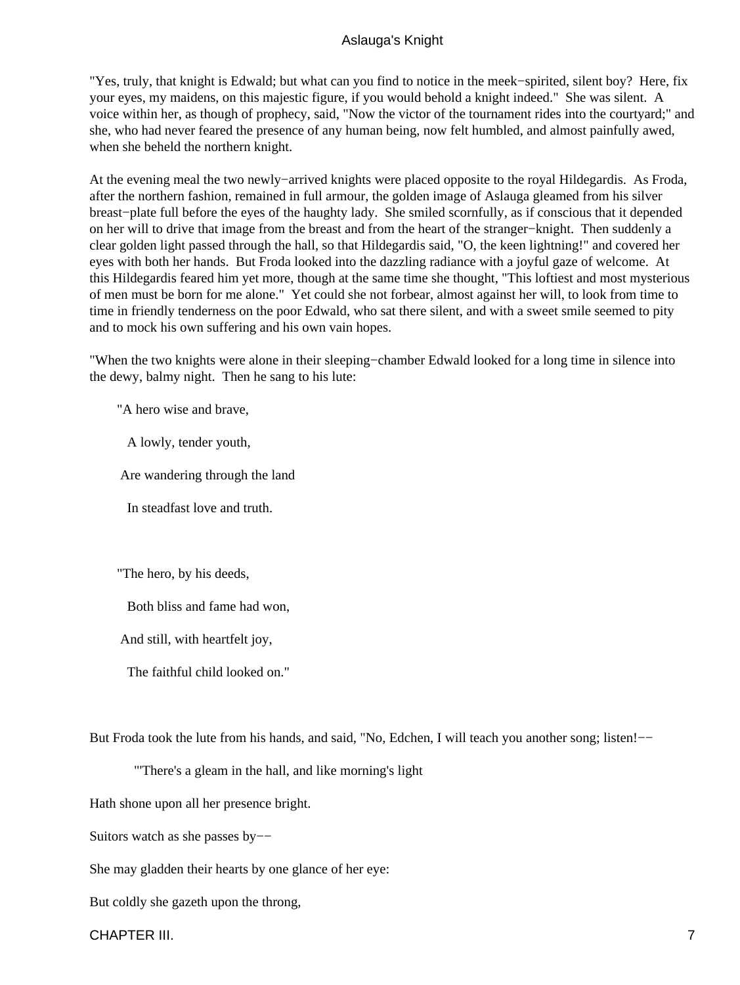"Yes, truly, that knight is Edwald; but what can you find to notice in the meek−spirited, silent boy? Here, fix your eyes, my maidens, on this majestic figure, if you would behold a knight indeed." She was silent. A voice within her, as though of prophecy, said, "Now the victor of the tournament rides into the courtyard;" and she, who had never feared the presence of any human being, now felt humbled, and almost painfully awed, when she beheld the northern knight.

At the evening meal the two newly−arrived knights were placed opposite to the royal Hildegardis. As Froda, after the northern fashion, remained in full armour, the golden image of Aslauga gleamed from his silver breast−plate full before the eyes of the haughty lady. She smiled scornfully, as if conscious that it depended on her will to drive that image from the breast and from the heart of the stranger−knight. Then suddenly a clear golden light passed through the hall, so that Hildegardis said, "O, the keen lightning!" and covered her eyes with both her hands. But Froda looked into the dazzling radiance with a joyful gaze of welcome. At this Hildegardis feared him yet more, though at the same time she thought, "This loftiest and most mysterious of men must be born for me alone." Yet could she not forbear, almost against her will, to look from time to time in friendly tenderness on the poor Edwald, who sat there silent, and with a sweet smile seemed to pity and to mock his own suffering and his own vain hopes.

"When the two knights were alone in their sleeping−chamber Edwald looked for a long time in silence into the dewy, balmy night. Then he sang to his lute:

"A hero wise and brave,

A lowly, tender youth,

Are wandering through the land

In steadfast love and truth.

"The hero, by his deeds,

Both bliss and fame had won,

And still, with heartfelt joy,

The faithful child looked on."

But Froda took the lute from his hands, and said, "No, Edchen, I will teach you another song; listen!—–

"'There's a gleam in the hall, and like morning's light

Hath shone upon all her presence bright.

Suitors watch as she passes by−−

She may gladden their hearts by one glance of her eye:

But coldly she gazeth upon the throng,

CHAPTER III. 2002. 2003. THE STATE STATE STATE STATE STATE STATE STATE STATE STATE STATE STATE STATE STATE STATE STATE STATE STATE STATE STATE STATE STATE STATE STATE STATE STATE STATE STATE STATE STATE STATE STATE STATE S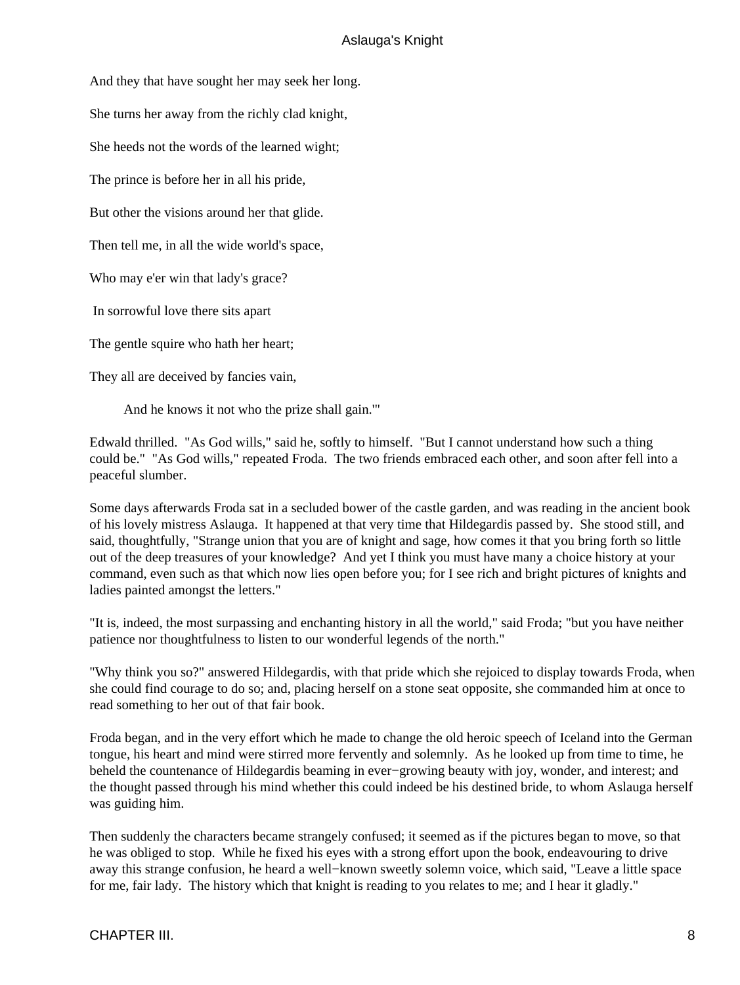And they that have sought her may seek her long.

She turns her away from the richly clad knight,

She heeds not the words of the learned wight;

The prince is before her in all his pride,

But other the visions around her that glide.

Then tell me, in all the wide world's space,

Who may e'er win that lady's grace?

In sorrowful love there sits apart

The gentle squire who hath her heart;

They all are deceived by fancies vain,

And he knows it not who the prize shall gain.'"

Edwald thrilled. "As God wills," said he, softly to himself. "But I cannot understand how such a thing could be." "As God wills," repeated Froda. The two friends embraced each other, and soon after fell into a peaceful slumber.

Some days afterwards Froda sat in a secluded bower of the castle garden, and was reading in the ancient book of his lovely mistress Aslauga. It happened at that very time that Hildegardis passed by. She stood still, and said, thoughtfully, "Strange union that you are of knight and sage, how comes it that you bring forth so little out of the deep treasures of your knowledge? And yet I think you must have many a choice history at your command, even such as that which now lies open before you; for I see rich and bright pictures of knights and ladies painted amongst the letters."

"It is, indeed, the most surpassing and enchanting history in all the world," said Froda; "but you have neither patience nor thoughtfulness to listen to our wonderful legends of the north."

"Why think you so?" answered Hildegardis, with that pride which she rejoiced to display towards Froda, when she could find courage to do so; and, placing herself on a stone seat opposite, she commanded him at once to read something to her out of that fair book.

Froda began, and in the very effort which he made to change the old heroic speech of Iceland into the German tongue, his heart and mind were stirred more fervently and solemnly. As he looked up from time to time, he beheld the countenance of Hildegardis beaming in ever−growing beauty with joy, wonder, and interest; and the thought passed through his mind whether this could indeed be his destined bride, to whom Aslauga herself was guiding him.

Then suddenly the characters became strangely confused; it seemed as if the pictures began to move, so that he was obliged to stop. While he fixed his eyes with a strong effort upon the book, endeavouring to drive away this strange confusion, he heard a well−known sweetly solemn voice, which said, "Leave a little space for me, fair lady. The history which that knight is reading to you relates to me; and I hear it gladly."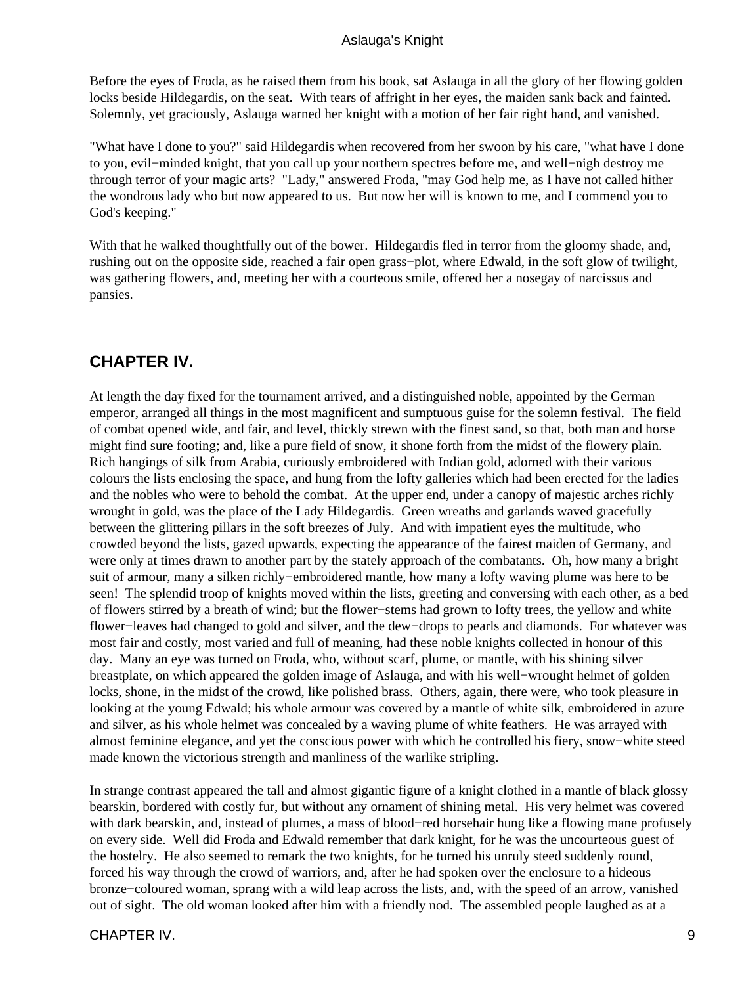<span id="page-10-0"></span>Before the eyes of Froda, as he raised them from his book, sat Aslauga in all the glory of her flowing golden locks beside Hildegardis, on the seat. With tears of affright in her eyes, the maiden sank back and fainted. Solemnly, yet graciously, Aslauga warned her knight with a motion of her fair right hand, and vanished.

"What have I done to you?" said Hildegardis when recovered from her swoon by his care, "what have I done to you, evil−minded knight, that you call up your northern spectres before me, and well−nigh destroy me through terror of your magic arts? "Lady," answered Froda, "may God help me, as I have not called hither the wondrous lady who but now appeared to us. But now her will is known to me, and I commend you to God's keeping."

With that he walked thoughtfully out of the bower. Hildegardis fled in terror from the gloomy shade, and, rushing out on the opposite side, reached a fair open grass−plot, where Edwald, in the soft glow of twilight, was gathering flowers, and, meeting her with a courteous smile, offered her a nosegay of narcissus and pansies.

## **CHAPTER IV.**

At length the day fixed for the tournament arrived, and a distinguished noble, appointed by the German emperor, arranged all things in the most magnificent and sumptuous guise for the solemn festival. The field of combat opened wide, and fair, and level, thickly strewn with the finest sand, so that, both man and horse might find sure footing; and, like a pure field of snow, it shone forth from the midst of the flowery plain. Rich hangings of silk from Arabia, curiously embroidered with Indian gold, adorned with their various colours the lists enclosing the space, and hung from the lofty galleries which had been erected for the ladies and the nobles who were to behold the combat. At the upper end, under a canopy of majestic arches richly wrought in gold, was the place of the Lady Hildegardis. Green wreaths and garlands waved gracefully between the glittering pillars in the soft breezes of July. And with impatient eyes the multitude, who crowded beyond the lists, gazed upwards, expecting the appearance of the fairest maiden of Germany, and were only at times drawn to another part by the stately approach of the combatants. Oh, how many a bright suit of armour, many a silken richly−embroidered mantle, how many a lofty waving plume was here to be seen! The splendid troop of knights moved within the lists, greeting and conversing with each other, as a bed of flowers stirred by a breath of wind; but the flower−stems had grown to lofty trees, the yellow and white flower−leaves had changed to gold and silver, and the dew−drops to pearls and diamonds. For whatever was most fair and costly, most varied and full of meaning, had these noble knights collected in honour of this day. Many an eye was turned on Froda, who, without scarf, plume, or mantle, with his shining silver breastplate, on which appeared the golden image of Aslauga, and with his well−wrought helmet of golden locks, shone, in the midst of the crowd, like polished brass. Others, again, there were, who took pleasure in looking at the young Edwald; his whole armour was covered by a mantle of white silk, embroidered in azure and silver, as his whole helmet was concealed by a waving plume of white feathers. He was arrayed with almost feminine elegance, and yet the conscious power with which he controlled his fiery, snow−white steed made known the victorious strength and manliness of the warlike stripling.

In strange contrast appeared the tall and almost gigantic figure of a knight clothed in a mantle of black glossy bearskin, bordered with costly fur, but without any ornament of shining metal. His very helmet was covered with dark bearskin, and, instead of plumes, a mass of blood−red horsehair hung like a flowing mane profusely on every side. Well did Froda and Edwald remember that dark knight, for he was the uncourteous guest of the hostelry. He also seemed to remark the two knights, for he turned his unruly steed suddenly round, forced his way through the crowd of warriors, and, after he had spoken over the enclosure to a hideous bronze−coloured woman, sprang with a wild leap across the lists, and, with the speed of an arrow, vanished out of sight. The old woman looked after him with a friendly nod. The assembled people laughed as at a

#### CHAPTER IV. 9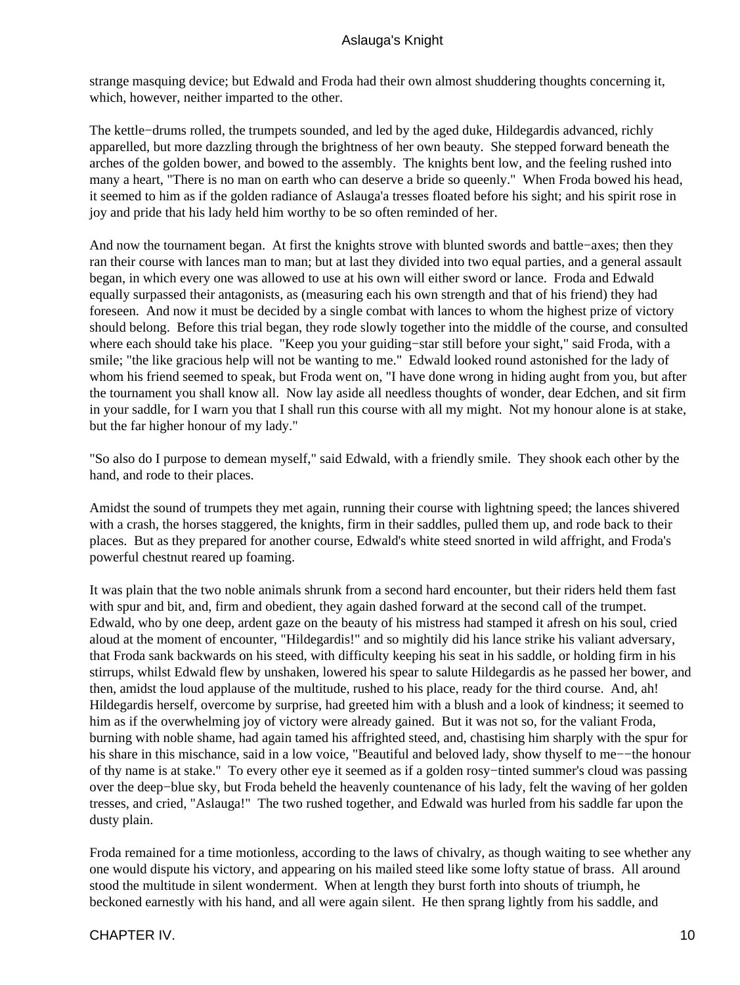strange masquing device; but Edwald and Froda had their own almost shuddering thoughts concerning it, which, however, neither imparted to the other.

The kettle−drums rolled, the trumpets sounded, and led by the aged duke, Hildegardis advanced, richly apparelled, but more dazzling through the brightness of her own beauty. She stepped forward beneath the arches of the golden bower, and bowed to the assembly. The knights bent low, and the feeling rushed into many a heart, "There is no man on earth who can deserve a bride so queenly." When Froda bowed his head, it seemed to him as if the golden radiance of Aslauga'a tresses floated before his sight; and his spirit rose in joy and pride that his lady held him worthy to be so often reminded of her.

And now the tournament began. At first the knights strove with blunted swords and battle−axes; then they ran their course with lances man to man; but at last they divided into two equal parties, and a general assault began, in which every one was allowed to use at his own will either sword or lance. Froda and Edwald equally surpassed their antagonists, as (measuring each his own strength and that of his friend) they had foreseen. And now it must be decided by a single combat with lances to whom the highest prize of victory should belong. Before this trial began, they rode slowly together into the middle of the course, and consulted where each should take his place. "Keep you your guiding−star still before your sight," said Froda, with a smile; "the like gracious help will not be wanting to me." Edwald looked round astonished for the lady of whom his friend seemed to speak, but Froda went on, "I have done wrong in hiding aught from you, but after the tournament you shall know all. Now lay aside all needless thoughts of wonder, dear Edchen, and sit firm in your saddle, for I warn you that I shall run this course with all my might. Not my honour alone is at stake, but the far higher honour of my lady."

"So also do I purpose to demean myself," said Edwald, with a friendly smile. They shook each other by the hand, and rode to their places.

Amidst the sound of trumpets they met again, running their course with lightning speed; the lances shivered with a crash, the horses staggered, the knights, firm in their saddles, pulled them up, and rode back to their places. But as they prepared for another course, Edwald's white steed snorted in wild affright, and Froda's powerful chestnut reared up foaming.

It was plain that the two noble animals shrunk from a second hard encounter, but their riders held them fast with spur and bit, and, firm and obedient, they again dashed forward at the second call of the trumpet. Edwald, who by one deep, ardent gaze on the beauty of his mistress had stamped it afresh on his soul, cried aloud at the moment of encounter, "Hildegardis!" and so mightily did his lance strike his valiant adversary, that Froda sank backwards on his steed, with difficulty keeping his seat in his saddle, or holding firm in his stirrups, whilst Edwald flew by unshaken, lowered his spear to salute Hildegardis as he passed her bower, and then, amidst the loud applause of the multitude, rushed to his place, ready for the third course. And, ah! Hildegardis herself, overcome by surprise, had greeted him with a blush and a look of kindness; it seemed to him as if the overwhelming joy of victory were already gained. But it was not so, for the valiant Froda, burning with noble shame, had again tamed his affrighted steed, and, chastising him sharply with the spur for his share in this mischance, said in a low voice, "Beautiful and beloved lady, show thyself to me−−the honour of thy name is at stake." To every other eye it seemed as if a golden rosy−tinted summer's cloud was passing over the deep−blue sky, but Froda beheld the heavenly countenance of his lady, felt the waving of her golden tresses, and cried, "Aslauga!" The two rushed together, and Edwald was hurled from his saddle far upon the dusty plain.

Froda remained for a time motionless, according to the laws of chivalry, as though waiting to see whether any one would dispute his victory, and appearing on his mailed steed like some lofty statue of brass. All around stood the multitude in silent wonderment. When at length they burst forth into shouts of triumph, he beckoned earnestly with his hand, and all were again silent. He then sprang lightly from his saddle, and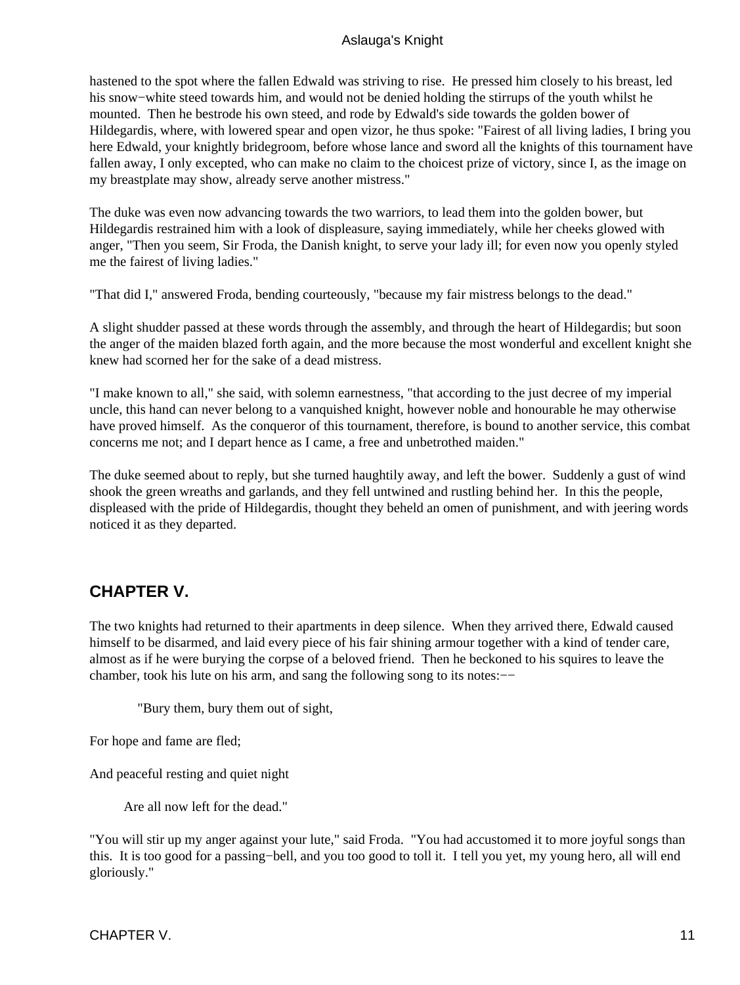<span id="page-12-0"></span>hastened to the spot where the fallen Edwald was striving to rise. He pressed him closely to his breast, led his snow−white steed towards him, and would not be denied holding the stirrups of the youth whilst he mounted. Then he bestrode his own steed, and rode by Edwald's side towards the golden bower of Hildegardis, where, with lowered spear and open vizor, he thus spoke: "Fairest of all living ladies, I bring you here Edwald, your knightly bridegroom, before whose lance and sword all the knights of this tournament have fallen away, I only excepted, who can make no claim to the choicest prize of victory, since I, as the image on my breastplate may show, already serve another mistress."

The duke was even now advancing towards the two warriors, to lead them into the golden bower, but Hildegardis restrained him with a look of displeasure, saying immediately, while her cheeks glowed with anger, "Then you seem, Sir Froda, the Danish knight, to serve your lady ill; for even now you openly styled me the fairest of living ladies."

"That did I," answered Froda, bending courteously, "because my fair mistress belongs to the dead."

A slight shudder passed at these words through the assembly, and through the heart of Hildegardis; but soon the anger of the maiden blazed forth again, and the more because the most wonderful and excellent knight she knew had scorned her for the sake of a dead mistress.

"I make known to all," she said, with solemn earnestness, "that according to the just decree of my imperial uncle, this hand can never belong to a vanquished knight, however noble and honourable he may otherwise have proved himself. As the conqueror of this tournament, therefore, is bound to another service, this combat concerns me not; and I depart hence as I came, a free and unbetrothed maiden."

The duke seemed about to reply, but she turned haughtily away, and left the bower. Suddenly a gust of wind shook the green wreaths and garlands, and they fell untwined and rustling behind her. In this the people, displeased with the pride of Hildegardis, thought they beheld an omen of punishment, and with jeering words noticed it as they departed.

## **CHAPTER V.**

The two knights had returned to their apartments in deep silence. When they arrived there, Edwald caused himself to be disarmed, and laid every piece of his fair shining armour together with a kind of tender care, almost as if he were burying the corpse of a beloved friend. Then he beckoned to his squires to leave the chamber, took his lute on his arm, and sang the following song to its notes:−−

"Bury them, bury them out of sight,

For hope and fame are fled;

And peaceful resting and quiet night

Are all now left for the dead."

"You will stir up my anger against your lute," said Froda. "You had accustomed it to more joyful songs than this. It is too good for a passing−bell, and you too good to toll it. I tell you yet, my young hero, all will end gloriously."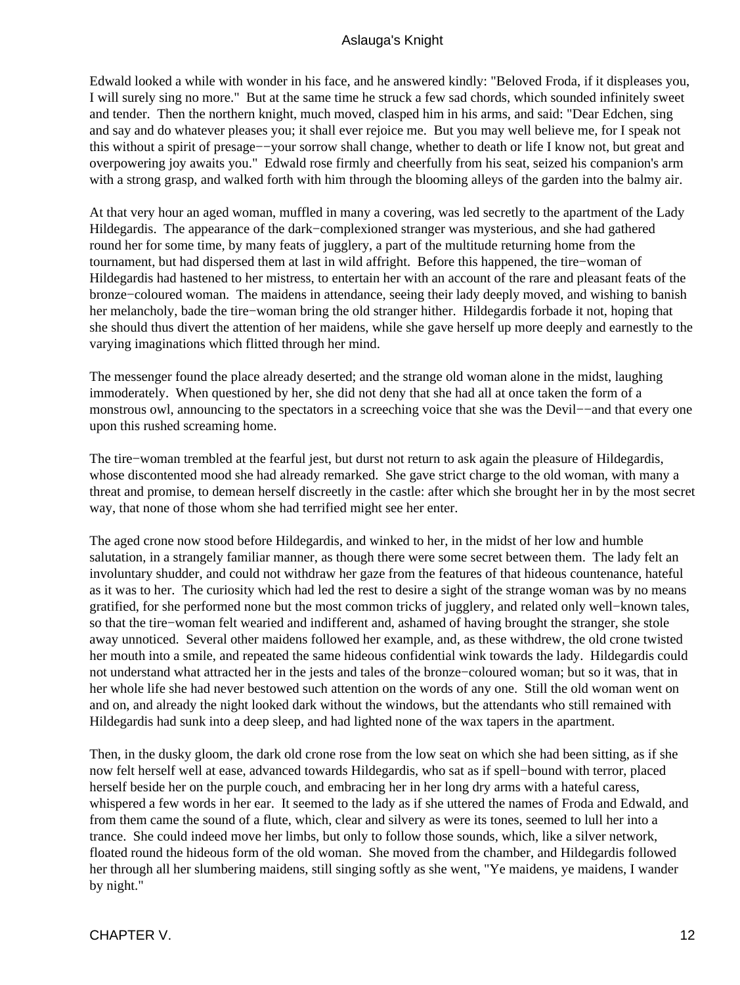Edwald looked a while with wonder in his face, and he answered kindly: "Beloved Froda, if it displeases you, I will surely sing no more." But at the same time he struck a few sad chords, which sounded infinitely sweet and tender. Then the northern knight, much moved, clasped him in his arms, and said: "Dear Edchen, sing and say and do whatever pleases you; it shall ever rejoice me. But you may well believe me, for I speak not this without a spirit of presage−−your sorrow shall change, whether to death or life I know not, but great and overpowering joy awaits you." Edwald rose firmly and cheerfully from his seat, seized his companion's arm with a strong grasp, and walked forth with him through the blooming alleys of the garden into the balmy air.

At that very hour an aged woman, muffled in many a covering, was led secretly to the apartment of the Lady Hildegardis. The appearance of the dark−complexioned stranger was mysterious, and she had gathered round her for some time, by many feats of jugglery, a part of the multitude returning home from the tournament, but had dispersed them at last in wild affright. Before this happened, the tire−woman of Hildegardis had hastened to her mistress, to entertain her with an account of the rare and pleasant feats of the bronze−coloured woman. The maidens in attendance, seeing their lady deeply moved, and wishing to banish her melancholy, bade the tire−woman bring the old stranger hither. Hildegardis forbade it not, hoping that she should thus divert the attention of her maidens, while she gave herself up more deeply and earnestly to the varying imaginations which flitted through her mind.

The messenger found the place already deserted; and the strange old woman alone in the midst, laughing immoderately. When questioned by her, she did not deny that she had all at once taken the form of a monstrous owl, announcing to the spectators in a screeching voice that she was the Devil−−and that every one upon this rushed screaming home.

The tire−woman trembled at the fearful jest, but durst not return to ask again the pleasure of Hildegardis, whose discontented mood she had already remarked. She gave strict charge to the old woman, with many a threat and promise, to demean herself discreetly in the castle: after which she brought her in by the most secret way, that none of those whom she had terrified might see her enter.

The aged crone now stood before Hildegardis, and winked to her, in the midst of her low and humble salutation, in a strangely familiar manner, as though there were some secret between them. The lady felt an involuntary shudder, and could not withdraw her gaze from the features of that hideous countenance, hateful as it was to her. The curiosity which had led the rest to desire a sight of the strange woman was by no means gratified, for she performed none but the most common tricks of jugglery, and related only well−known tales, so that the tire−woman felt wearied and indifferent and, ashamed of having brought the stranger, she stole away unnoticed. Several other maidens followed her example, and, as these withdrew, the old crone twisted her mouth into a smile, and repeated the same hideous confidential wink towards the lady. Hildegardis could not understand what attracted her in the jests and tales of the bronze−coloured woman; but so it was, that in her whole life she had never bestowed such attention on the words of any one. Still the old woman went on and on, and already the night looked dark without the windows, but the attendants who still remained with Hildegardis had sunk into a deep sleep, and had lighted none of the wax tapers in the apartment.

Then, in the dusky gloom, the dark old crone rose from the low seat on which she had been sitting, as if she now felt herself well at ease, advanced towards Hildegardis, who sat as if spell−bound with terror, placed herself beside her on the purple couch, and embracing her in her long dry arms with a hateful caress, whispered a few words in her ear. It seemed to the lady as if she uttered the names of Froda and Edwald, and from them came the sound of a flute, which, clear and silvery as were its tones, seemed to lull her into a trance. She could indeed move her limbs, but only to follow those sounds, which, like a silver network, floated round the hideous form of the old woman. She moved from the chamber, and Hildegardis followed her through all her slumbering maidens, still singing softly as she went, "Ye maidens, ye maidens, I wander by night."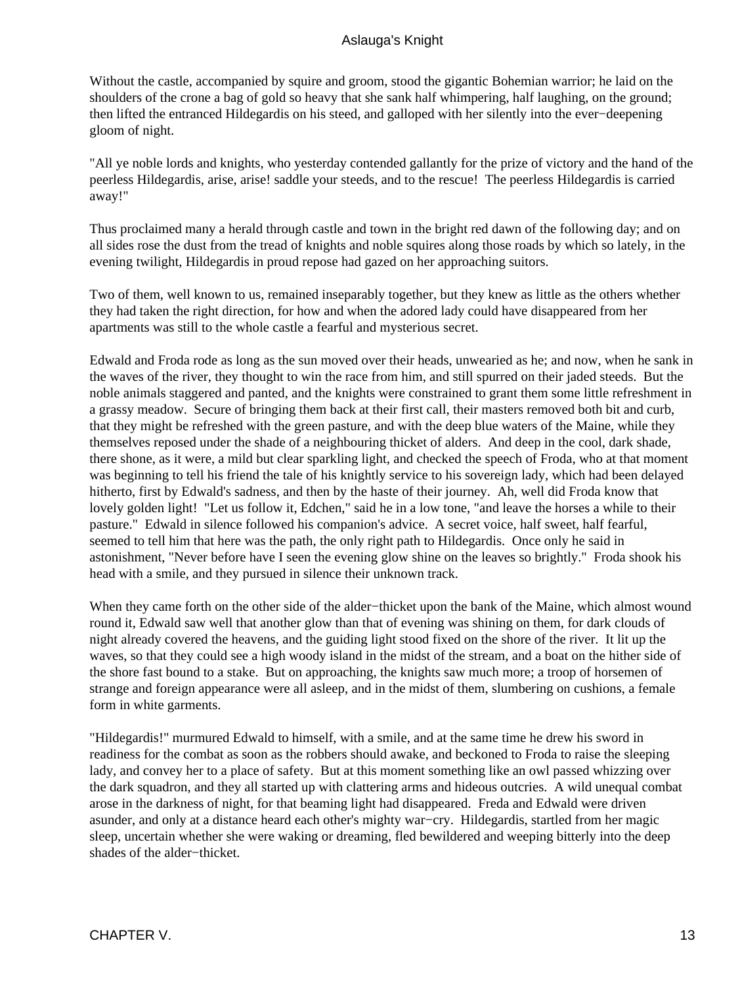Without the castle, accompanied by squire and groom, stood the gigantic Bohemian warrior; he laid on the shoulders of the crone a bag of gold so heavy that she sank half whimpering, half laughing, on the ground; then lifted the entranced Hildegardis on his steed, and galloped with her silently into the ever−deepening gloom of night.

"All ye noble lords and knights, who yesterday contended gallantly for the prize of victory and the hand of the peerless Hildegardis, arise, arise! saddle your steeds, and to the rescue! The peerless Hildegardis is carried away!"

Thus proclaimed many a herald through castle and town in the bright red dawn of the following day; and on all sides rose the dust from the tread of knights and noble squires along those roads by which so lately, in the evening twilight, Hildegardis in proud repose had gazed on her approaching suitors.

Two of them, well known to us, remained inseparably together, but they knew as little as the others whether they had taken the right direction, for how and when the adored lady could have disappeared from her apartments was still to the whole castle a fearful and mysterious secret.

Edwald and Froda rode as long as the sun moved over their heads, unwearied as he; and now, when he sank in the waves of the river, they thought to win the race from him, and still spurred on their jaded steeds. But the noble animals staggered and panted, and the knights were constrained to grant them some little refreshment in a grassy meadow. Secure of bringing them back at their first call, their masters removed both bit and curb, that they might be refreshed with the green pasture, and with the deep blue waters of the Maine, while they themselves reposed under the shade of a neighbouring thicket of alders. And deep in the cool, dark shade, there shone, as it were, a mild but clear sparkling light, and checked the speech of Froda, who at that moment was beginning to tell his friend the tale of his knightly service to his sovereign lady, which had been delayed hitherto, first by Edwald's sadness, and then by the haste of their journey. Ah, well did Froda know that lovely golden light! "Let us follow it, Edchen," said he in a low tone, "and leave the horses a while to their pasture." Edwald in silence followed his companion's advice. A secret voice, half sweet, half fearful, seemed to tell him that here was the path, the only right path to Hildegardis. Once only he said in astonishment, "Never before have I seen the evening glow shine on the leaves so brightly." Froda shook his head with a smile, and they pursued in silence their unknown track.

When they came forth on the other side of the alder−thicket upon the bank of the Maine, which almost wound round it, Edwald saw well that another glow than that of evening was shining on them, for dark clouds of night already covered the heavens, and the guiding light stood fixed on the shore of the river. It lit up the waves, so that they could see a high woody island in the midst of the stream, and a boat on the hither side of the shore fast bound to a stake. But on approaching, the knights saw much more; a troop of horsemen of strange and foreign appearance were all asleep, and in the midst of them, slumbering on cushions, a female form in white garments.

"Hildegardis!" murmured Edwald to himself, with a smile, and at the same time he drew his sword in readiness for the combat as soon as the robbers should awake, and beckoned to Froda to raise the sleeping lady, and convey her to a place of safety. But at this moment something like an owl passed whizzing over the dark squadron, and they all started up with clattering arms and hideous outcries. A wild unequal combat arose in the darkness of night, for that beaming light had disappeared. Freda and Edwald were driven asunder, and only at a distance heard each other's mighty war−cry. Hildegardis, startled from her magic sleep, uncertain whether she were waking or dreaming, fled bewildered and weeping bitterly into the deep shades of the alder−thicket.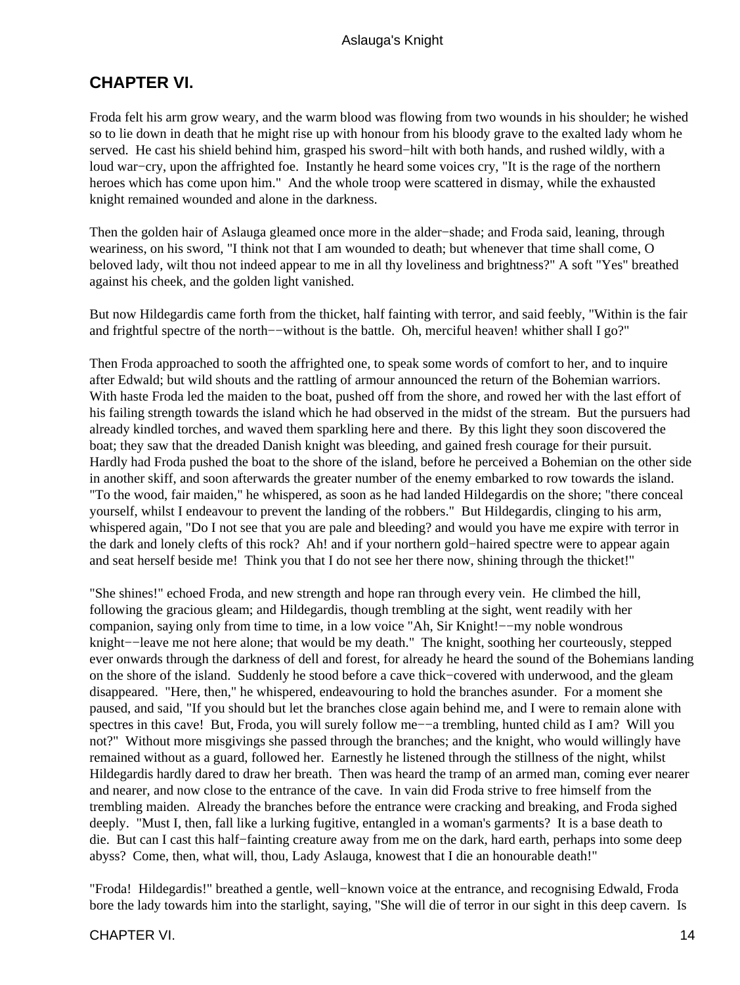## <span id="page-15-0"></span>**CHAPTER VI.**

Froda felt his arm grow weary, and the warm blood was flowing from two wounds in his shoulder; he wished so to lie down in death that he might rise up with honour from his bloody grave to the exalted lady whom he served. He cast his shield behind him, grasped his sword−hilt with both hands, and rushed wildly, with a loud war−cry, upon the affrighted foe. Instantly he heard some voices cry, "It is the rage of the northern heroes which has come upon him." And the whole troop were scattered in dismay, while the exhausted knight remained wounded and alone in the darkness.

Then the golden hair of Aslauga gleamed once more in the alder−shade; and Froda said, leaning, through weariness, on his sword, "I think not that I am wounded to death; but whenever that time shall come, O beloved lady, wilt thou not indeed appear to me in all thy loveliness and brightness?" A soft "Yes" breathed against his cheek, and the golden light vanished.

But now Hildegardis came forth from the thicket, half fainting with terror, and said feebly, "Within is the fair and frightful spectre of the north−−without is the battle. Oh, merciful heaven! whither shall I go?"

Then Froda approached to sooth the affrighted one, to speak some words of comfort to her, and to inquire after Edwald; but wild shouts and the rattling of armour announced the return of the Bohemian warriors. With haste Froda led the maiden to the boat, pushed off from the shore, and rowed her with the last effort of his failing strength towards the island which he had observed in the midst of the stream. But the pursuers had already kindled torches, and waved them sparkling here and there. By this light they soon discovered the boat; they saw that the dreaded Danish knight was bleeding, and gained fresh courage for their pursuit. Hardly had Froda pushed the boat to the shore of the island, before he perceived a Bohemian on the other side in another skiff, and soon afterwards the greater number of the enemy embarked to row towards the island. "To the wood, fair maiden," he whispered, as soon as he had landed Hildegardis on the shore; "there conceal yourself, whilst I endeavour to prevent the landing of the robbers." But Hildegardis, clinging to his arm, whispered again, "Do I not see that you are pale and bleeding? and would you have me expire with terror in the dark and lonely clefts of this rock? Ah! and if your northern gold−haired spectre were to appear again and seat herself beside me! Think you that I do not see her there now, shining through the thicket!"

"She shines!" echoed Froda, and new strength and hope ran through every vein. He climbed the hill, following the gracious gleam; and Hildegardis, though trembling at the sight, went readily with her companion, saying only from time to time, in a low voice "Ah, Sir Knight!−−my noble wondrous knight−−leave me not here alone; that would be my death." The knight, soothing her courteously, stepped ever onwards through the darkness of dell and forest, for already he heard the sound of the Bohemians landing on the shore of the island. Suddenly he stood before a cave thick−covered with underwood, and the gleam disappeared. "Here, then," he whispered, endeavouring to hold the branches asunder. For a moment she paused, and said, "If you should but let the branches close again behind me, and I were to remain alone with spectres in this cave! But, Froda, you will surely follow me—–a trembling, hunted child as I am? Will you not?" Without more misgivings she passed through the branches; and the knight, who would willingly have remained without as a guard, followed her. Earnestly he listened through the stillness of the night, whilst Hildegardis hardly dared to draw her breath. Then was heard the tramp of an armed man, coming ever nearer and nearer, and now close to the entrance of the cave. In vain did Froda strive to free himself from the trembling maiden. Already the branches before the entrance were cracking and breaking, and Froda sighed deeply. "Must I, then, fall like a lurking fugitive, entangled in a woman's garments? It is a base death to die. But can I cast this half−fainting creature away from me on the dark, hard earth, perhaps into some deep abyss? Come, then, what will, thou, Lady Aslauga, knowest that I die an honourable death!"

"Froda! Hildegardis!" breathed a gentle, well−known voice at the entrance, and recognising Edwald, Froda bore the lady towards him into the starlight, saying, "She will die of terror in our sight in this deep cavern. Is

#### CHAPTER VI. 2002. THE STREET STREET WAS SERVED FOR A 2004 AND THE STREET WAS SERVED FOR A 24 YO F. THE STREET STREET WAS SERVED FOR A 24 YO F. THE STREET WAS SERVED FOR A 24 YO F. THE STREET WAS SERVED FOR A 24 YO F. THE S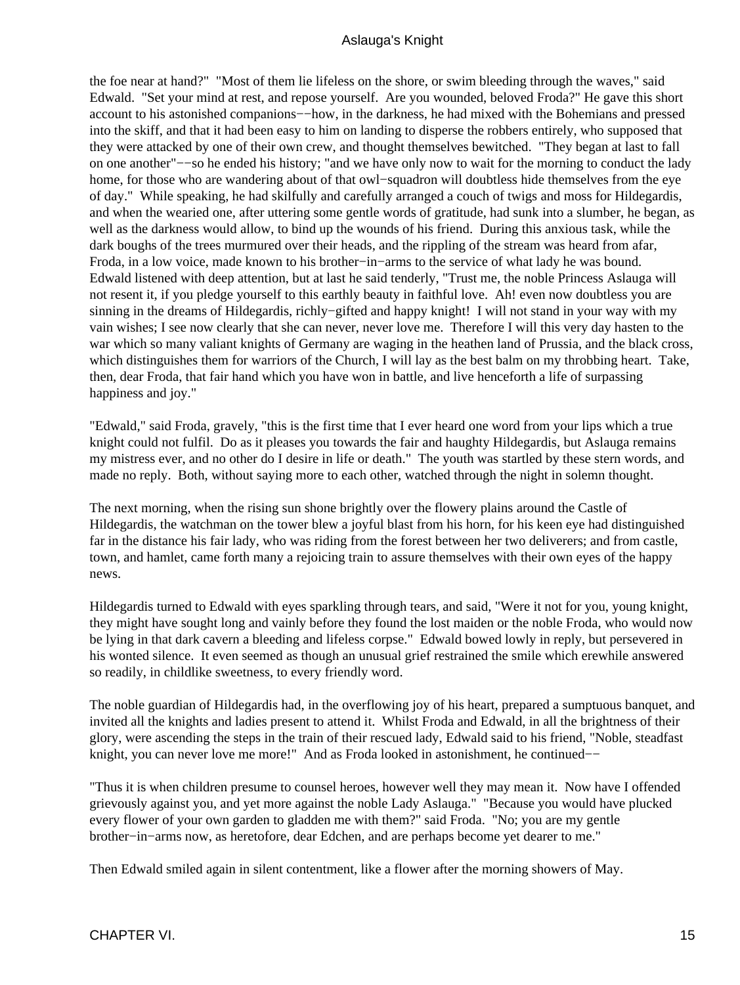the foe near at hand?" "Most of them lie lifeless on the shore, or swim bleeding through the waves," said Edwald. "Set your mind at rest, and repose yourself. Are you wounded, beloved Froda?" He gave this short account to his astonished companions−−how, in the darkness, he had mixed with the Bohemians and pressed into the skiff, and that it had been easy to him on landing to disperse the robbers entirely, who supposed that they were attacked by one of their own crew, and thought themselves bewitched. "They began at last to fall on one another"−−so he ended his history; "and we have only now to wait for the morning to conduct the lady home, for those who are wandering about of that owl−squadron will doubtless hide themselves from the eye of day." While speaking, he had skilfully and carefully arranged a couch of twigs and moss for Hildegardis, and when the wearied one, after uttering some gentle words of gratitude, had sunk into a slumber, he began, as well as the darkness would allow, to bind up the wounds of his friend. During this anxious task, while the dark boughs of the trees murmured over their heads, and the rippling of the stream was heard from afar, Froda, in a low voice, made known to his brother−in−arms to the service of what lady he was bound. Edwald listened with deep attention, but at last he said tenderly, "Trust me, the noble Princess Aslauga will not resent it, if you pledge yourself to this earthly beauty in faithful love. Ah! even now doubtless you are sinning in the dreams of Hildegardis, richly−gifted and happy knight! I will not stand in your way with my vain wishes; I see now clearly that she can never, never love me. Therefore I will this very day hasten to the war which so many valiant knights of Germany are waging in the heathen land of Prussia, and the black cross, which distinguishes them for warriors of the Church, I will lay as the best balm on my throbbing heart. Take, then, dear Froda, that fair hand which you have won in battle, and live henceforth a life of surpassing happiness and joy."

"Edwald," said Froda, gravely, "this is the first time that I ever heard one word from your lips which a true knight could not fulfil. Do as it pleases you towards the fair and haughty Hildegardis, but Aslauga remains my mistress ever, and no other do I desire in life or death." The youth was startled by these stern words, and made no reply. Both, without saying more to each other, watched through the night in solemn thought.

The next morning, when the rising sun shone brightly over the flowery plains around the Castle of Hildegardis, the watchman on the tower blew a joyful blast from his horn, for his keen eye had distinguished far in the distance his fair lady, who was riding from the forest between her two deliverers; and from castle, town, and hamlet, came forth many a rejoicing train to assure themselves with their own eyes of the happy news.

Hildegardis turned to Edwald with eyes sparkling through tears, and said, "Were it not for you, young knight, they might have sought long and vainly before they found the lost maiden or the noble Froda, who would now be lying in that dark cavern a bleeding and lifeless corpse." Edwald bowed lowly in reply, but persevered in his wonted silence. It even seemed as though an unusual grief restrained the smile which erewhile answered so readily, in childlike sweetness, to every friendly word.

The noble guardian of Hildegardis had, in the overflowing joy of his heart, prepared a sumptuous banquet, and invited all the knights and ladies present to attend it. Whilst Froda and Edwald, in all the brightness of their glory, were ascending the steps in the train of their rescued lady, Edwald said to his friend, "Noble, steadfast knight, you can never love me more!" And as Froda looked in astonishment, he continued−−

"Thus it is when children presume to counsel heroes, however well they may mean it. Now have I offended grievously against you, and yet more against the noble Lady Aslauga." "Because you would have plucked every flower of your own garden to gladden me with them?" said Froda. "No; you are my gentle brother−in−arms now, as heretofore, dear Edchen, and are perhaps become yet dearer to me."

Then Edwald smiled again in silent contentment, like a flower after the morning showers of May.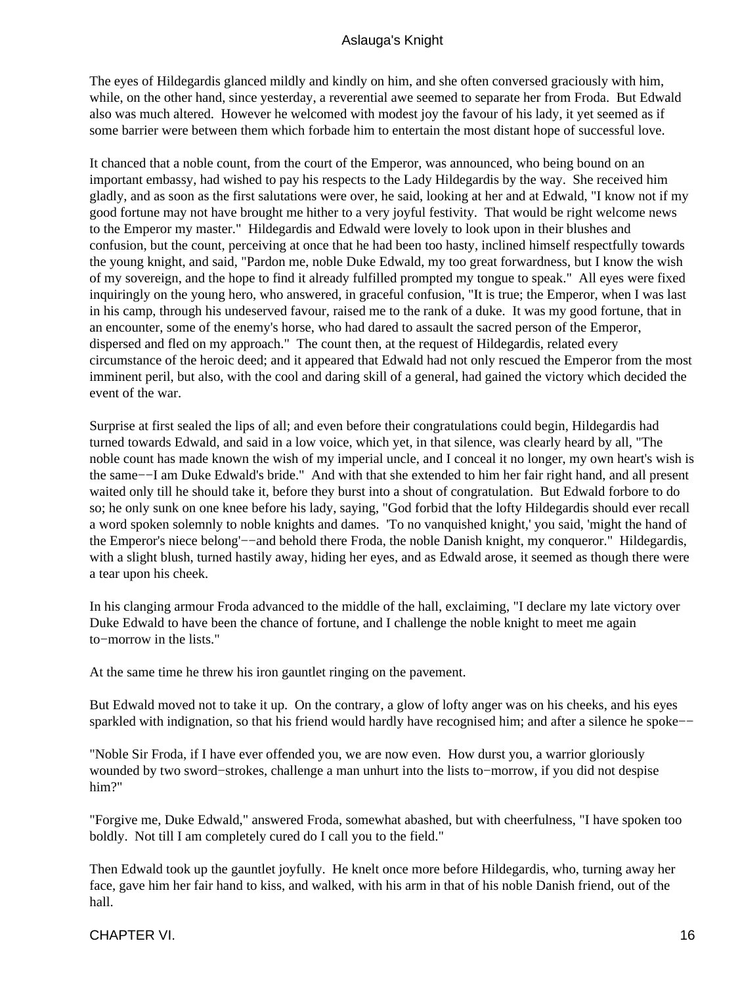The eyes of Hildegardis glanced mildly and kindly on him, and she often conversed graciously with him, while, on the other hand, since yesterday, a reverential awe seemed to separate her from Froda. But Edwald also was much altered. However he welcomed with modest joy the favour of his lady, it yet seemed as if some barrier were between them which forbade him to entertain the most distant hope of successful love.

It chanced that a noble count, from the court of the Emperor, was announced, who being bound on an important embassy, had wished to pay his respects to the Lady Hildegardis by the way. She received him gladly, and as soon as the first salutations were over, he said, looking at her and at Edwald, "I know not if my good fortune may not have brought me hither to a very joyful festivity. That would be right welcome news to the Emperor my master." Hildegardis and Edwald were lovely to look upon in their blushes and confusion, but the count, perceiving at once that he had been too hasty, inclined himself respectfully towards the young knight, and said, "Pardon me, noble Duke Edwald, my too great forwardness, but I know the wish of my sovereign, and the hope to find it already fulfilled prompted my tongue to speak." All eyes were fixed inquiringly on the young hero, who answered, in graceful confusion, "It is true; the Emperor, when I was last in his camp, through his undeserved favour, raised me to the rank of a duke. It was my good fortune, that in an encounter, some of the enemy's horse, who had dared to assault the sacred person of the Emperor, dispersed and fled on my approach." The count then, at the request of Hildegardis, related every circumstance of the heroic deed; and it appeared that Edwald had not only rescued the Emperor from the most imminent peril, but also, with the cool and daring skill of a general, had gained the victory which decided the event of the war.

Surprise at first sealed the lips of all; and even before their congratulations could begin, Hildegardis had turned towards Edwald, and said in a low voice, which yet, in that silence, was clearly heard by all, "The noble count has made known the wish of my imperial uncle, and I conceal it no longer, my own heart's wish is the same−−I am Duke Edwald's bride." And with that she extended to him her fair right hand, and all present waited only till he should take it, before they burst into a shout of congratulation. But Edwald forbore to do so; he only sunk on one knee before his lady, saying, "God forbid that the lofty Hildegardis should ever recall a word spoken solemnly to noble knights and dames. 'To no vanquished knight,' you said, 'might the hand of the Emperor's niece belong'−−and behold there Froda, the noble Danish knight, my conqueror." Hildegardis, with a slight blush, turned hastily away, hiding her eyes, and as Edwald arose, it seemed as though there were a tear upon his cheek.

In his clanging armour Froda advanced to the middle of the hall, exclaiming, "I declare my late victory over Duke Edwald to have been the chance of fortune, and I challenge the noble knight to meet me again to−morrow in the lists."

At the same time he threw his iron gauntlet ringing on the pavement.

But Edwald moved not to take it up. On the contrary, a glow of lofty anger was on his cheeks, and his eyes sparkled with indignation, so that his friend would hardly have recognised him; and after a silence he spoke–−

"Noble Sir Froda, if I have ever offended you, we are now even. How durst you, a warrior gloriously wounded by two sword−strokes, challenge a man unhurt into the lists to−morrow, if you did not despise him?"

"Forgive me, Duke Edwald," answered Froda, somewhat abashed, but with cheerfulness, "I have spoken too boldly. Not till I am completely cured do I call you to the field."

Then Edwald took up the gauntlet joyfully. He knelt once more before Hildegardis, who, turning away her face, gave him her fair hand to kiss, and walked, with his arm in that of his noble Danish friend, out of the hall.

CHAPTER VI. 2002. THE STREET WAS SERVED AND TO A SERVED A STREET WAS SERVED AND TO A STREET WAS SERVED AND TO A STREET WAS SERVED AND TO A STREET WAS SERVED ON A STREET WAS SERVED AND TO A STREET WAS SERVED ON A STREET WAS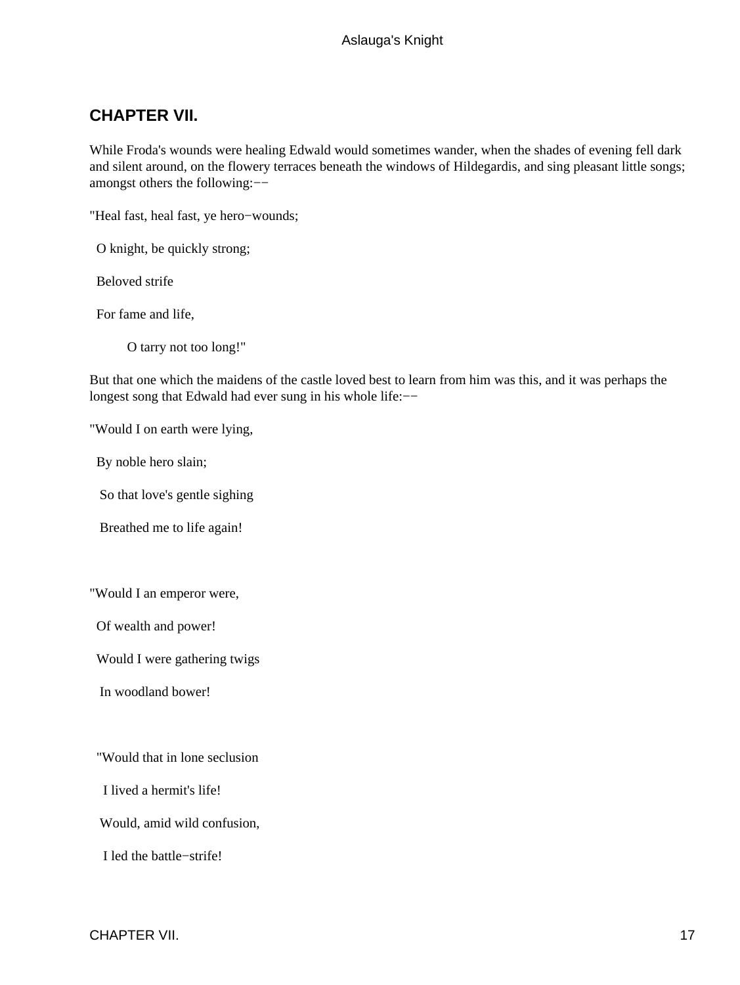## <span id="page-18-0"></span>**CHAPTER VII.**

While Froda's wounds were healing Edwald would sometimes wander, when the shades of evening fell dark and silent around, on the flowery terraces beneath the windows of Hildegardis, and sing pleasant little songs; amongst others the following:−−

"Heal fast, heal fast, ye hero−wounds;

O knight, be quickly strong;

Beloved strife

For fame and life,

O tarry not too long!"

But that one which the maidens of the castle loved best to learn from him was this, and it was perhaps the longest song that Edwald had ever sung in his whole life:−−

"Would I on earth were lying,

By noble hero slain;

So that love's gentle sighing

Breathed me to life again!

"Would I an emperor were,

Of wealth and power!

Would I were gathering twigs

In woodland bower!

"Would that in lone seclusion

I lived a hermit's life!

Would, amid wild confusion,

I led the battle−strife!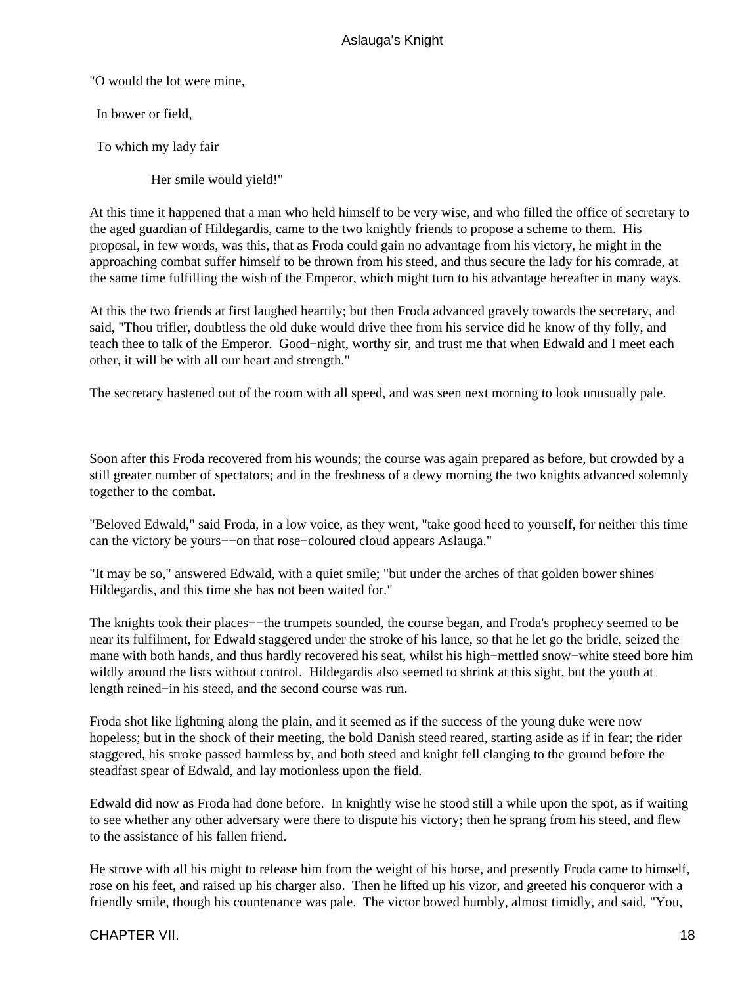"O would the lot were mine,

In bower or field,

To which my lady fair

Her smile would yield!"

At this time it happened that a man who held himself to be very wise, and who filled the office of secretary to the aged guardian of Hildegardis, came to the two knightly friends to propose a scheme to them. His proposal, in few words, was this, that as Froda could gain no advantage from his victory, he might in the approaching combat suffer himself to be thrown from his steed, and thus secure the lady for his comrade, at the same time fulfilling the wish of the Emperor, which might turn to his advantage hereafter in many ways.

At this the two friends at first laughed heartily; but then Froda advanced gravely towards the secretary, and said, "Thou trifler, doubtless the old duke would drive thee from his service did he know of thy folly, and teach thee to talk of the Emperor. Good−night, worthy sir, and trust me that when Edwald and I meet each other, it will be with all our heart and strength."

The secretary hastened out of the room with all speed, and was seen next morning to look unusually pale.

Soon after this Froda recovered from his wounds; the course was again prepared as before, but crowded by a still greater number of spectators; and in the freshness of a dewy morning the two knights advanced solemnly together to the combat.

"Beloved Edwald," said Froda, in a low voice, as they went, "take good heed to yourself, for neither this time can the victory be yours−−on that rose−coloured cloud appears Aslauga."

"It may be so," answered Edwald, with a quiet smile; "but under the arches of that golden bower shines Hildegardis, and this time she has not been waited for."

The knights took their places—−the trumpets sounded, the course began, and Froda's prophecy seemed to be near its fulfilment, for Edwald staggered under the stroke of his lance, so that he let go the bridle, seized the mane with both hands, and thus hardly recovered his seat, whilst his high−mettled snow−white steed bore him wildly around the lists without control. Hildegardis also seemed to shrink at this sight, but the youth at length reined−in his steed, and the second course was run.

Froda shot like lightning along the plain, and it seemed as if the success of the young duke were now hopeless; but in the shock of their meeting, the bold Danish steed reared, starting aside as if in fear; the rider staggered, his stroke passed harmless by, and both steed and knight fell clanging to the ground before the steadfast spear of Edwald, and lay motionless upon the field.

Edwald did now as Froda had done before. In knightly wise he stood still a while upon the spot, as if waiting to see whether any other adversary were there to dispute his victory; then he sprang from his steed, and flew to the assistance of his fallen friend.

He strove with all his might to release him from the weight of his horse, and presently Froda came to himself, rose on his feet, and raised up his charger also. Then he lifted up his vizor, and greeted his conqueror with a friendly smile, though his countenance was pale. The victor bowed humbly, almost timidly, and said, "You,

#### CHAPTER VII. 2002. 2004. THE STATE STATE STATE STATE STATE STATE STATE STATE STATE STATE STATE STATE STATE STATE STATE STATE STATE STATE STATE STATE STATE STATE STATE STATE STATE STATE STATE STATE STATE STATE STATE STATE S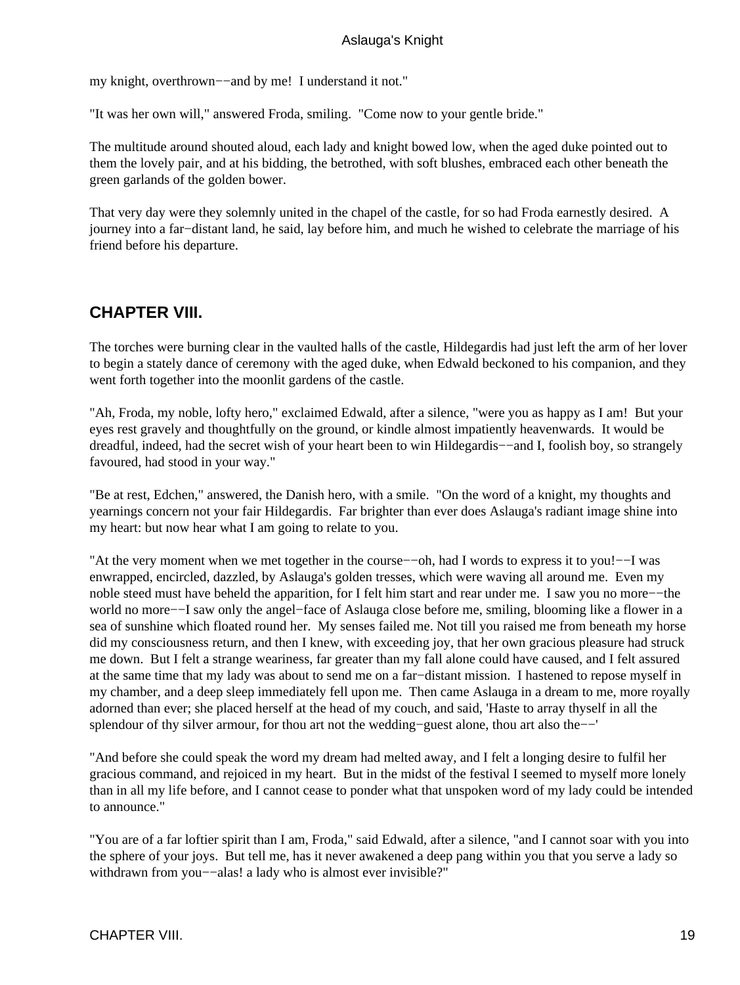<span id="page-20-0"></span>my knight, overthrown−−and by me! I understand it not."

"It was her own will," answered Froda, smiling. "Come now to your gentle bride."

The multitude around shouted aloud, each lady and knight bowed low, when the aged duke pointed out to them the lovely pair, and at his bidding, the betrothed, with soft blushes, embraced each other beneath the green garlands of the golden bower.

That very day were they solemnly united in the chapel of the castle, for so had Froda earnestly desired. A journey into a far−distant land, he said, lay before him, and much he wished to celebrate the marriage of his friend before his departure.

## **CHAPTER VIII.**

The torches were burning clear in the vaulted halls of the castle, Hildegardis had just left the arm of her lover to begin a stately dance of ceremony with the aged duke, when Edwald beckoned to his companion, and they went forth together into the moonlit gardens of the castle.

"Ah, Froda, my noble, lofty hero," exclaimed Edwald, after a silence, "were you as happy as I am! But your eyes rest gravely and thoughtfully on the ground, or kindle almost impatiently heavenwards. It would be dreadful, indeed, had the secret wish of your heart been to win Hildegardis−−and I, foolish boy, so strangely favoured, had stood in your way."

"Be at rest, Edchen," answered, the Danish hero, with a smile. "On the word of a knight, my thoughts and yearnings concern not your fair Hildegardis. Far brighter than ever does Aslauga's radiant image shine into my heart: but now hear what I am going to relate to you.

"At the very moment when we met together in the course−−oh, had I words to express it to you!−−I was enwrapped, encircled, dazzled, by Aslauga's golden tresses, which were waving all around me. Even my noble steed must have beheld the apparition, for I felt him start and rear under me. I saw you no more−−the world no more−−I saw only the angel−face of Aslauga close before me, smiling, blooming like a flower in a sea of sunshine which floated round her. My senses failed me. Not till you raised me from beneath my horse did my consciousness return, and then I knew, with exceeding joy, that her own gracious pleasure had struck me down. But I felt a strange weariness, far greater than my fall alone could have caused, and I felt assured at the same time that my lady was about to send me on a far−distant mission. I hastened to repose myself in my chamber, and a deep sleep immediately fell upon me. Then came Aslauga in a dream to me, more royally adorned than ever; she placed herself at the head of my couch, and said, 'Haste to array thyself in all the splendour of thy silver armour, for thou art not the wedding−guest alone, thou art also the−−'

"And before she could speak the word my dream had melted away, and I felt a longing desire to fulfil her gracious command, and rejoiced in my heart. But in the midst of the festival I seemed to myself more lonely than in all my life before, and I cannot cease to ponder what that unspoken word of my lady could be intended to announce."

"You are of a far loftier spirit than I am, Froda," said Edwald, after a silence, "and I cannot soar with you into the sphere of your joys. But tell me, has it never awakened a deep pang within you that you serve a lady so withdrawn from you−−alas! a lady who is almost ever invisible?"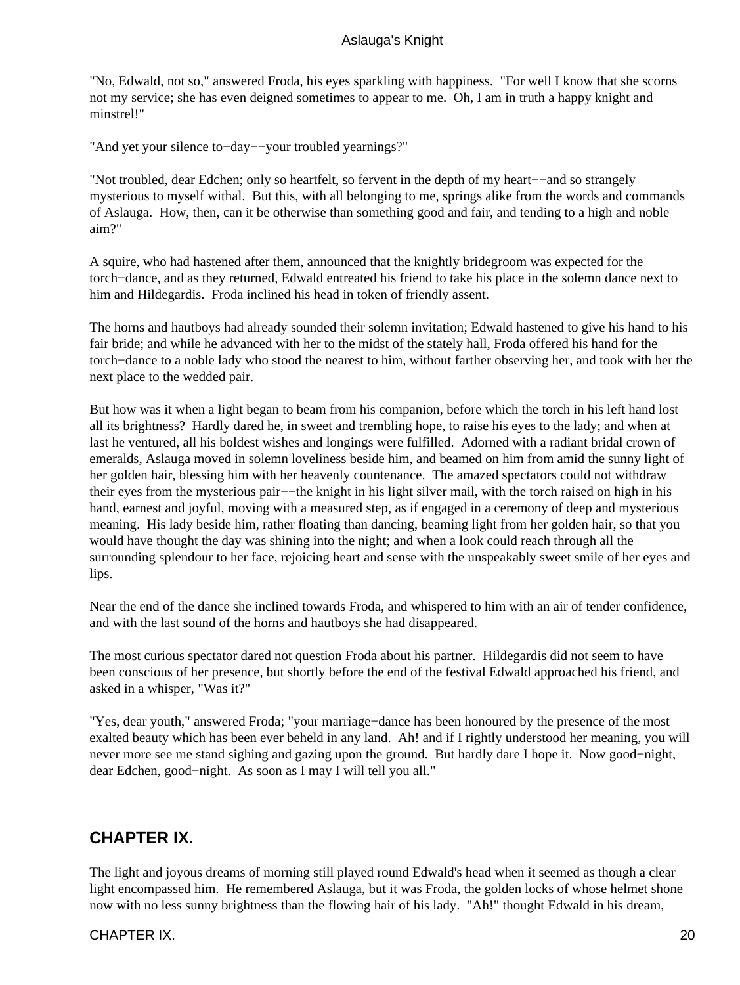<span id="page-21-0"></span>"No, Edwald, not so," answered Froda, his eyes sparkling with happiness. "For well I know that she scorns not my service; she has even deigned sometimes to appear to me. Oh, I am in truth a happy knight and minstrel!"

"And yet your silence to−day−−your troubled yearnings?"

"Not troubled, dear Edchen; only so heartfelt, so fervent in the depth of my heart−−and so strangely mysterious to myself withal. But this, with all belonging to me, springs alike from the words and commands of Aslauga. How, then, can it be otherwise than something good and fair, and tending to a high and noble aim?"

A squire, who had hastened after them, announced that the knightly bridegroom was expected for the torch−dance, and as they returned, Edwald entreated his friend to take his place in the solemn dance next to him and Hildegardis. Froda inclined his head in token of friendly assent.

The horns and hautboys had already sounded their solemn invitation; Edwald hastened to give his hand to his fair bride; and while he advanced with her to the midst of the stately hall, Froda offered his hand for the torch−dance to a noble lady who stood the nearest to him, without farther observing her, and took with her the next place to the wedded pair.

But how was it when a light began to beam from his companion, before which the torch in his left hand lost all its brightness? Hardly dared he, in sweet and trembling hope, to raise his eyes to the lady; and when at last he ventured, all his boldest wishes and longings were fulfilled. Adorned with a radiant bridal crown of emeralds, Aslauga moved in solemn loveliness beside him, and beamed on him from amid the sunny light of her golden hair, blessing him with her heavenly countenance. The amazed spectators could not withdraw their eyes from the mysterious pair−−the knight in his light silver mail, with the torch raised on high in his hand, earnest and joyful, moving with a measured step, as if engaged in a ceremony of deep and mysterious meaning. His lady beside him, rather floating than dancing, beaming light from her golden hair, so that you would have thought the day was shining into the night; and when a look could reach through all the surrounding splendour to her face, rejoicing heart and sense with the unspeakably sweet smile of her eyes and lips.

Near the end of the dance she inclined towards Froda, and whispered to him with an air of tender confidence, and with the last sound of the horns and hautboys she had disappeared.

The most curious spectator dared not question Froda about his partner. Hildegardis did not seem to have been conscious of her presence, but shortly before the end of the festival Edwald approached his friend, and asked in a whisper, "Was it?"

"Yes, dear youth," answered Froda; "your marriage−dance has been honoured by the presence of the most exalted beauty which has been ever beheld in any land. Ah! and if I rightly understood her meaning, you will never more see me stand sighing and gazing upon the ground. But hardly dare I hope it. Now good−night, dear Edchen, good−night. As soon as I may I will tell you all."

## **CHAPTER IX.**

The light and joyous dreams of morning still played round Edwald's head when it seemed as though a clear light encompassed him. He remembered Aslauga, but it was Froda, the golden locks of whose helmet shone now with no less sunny brightness than the flowing hair of his lady. "Ah!" thought Edwald in his dream,

## CHAPTER IX. 20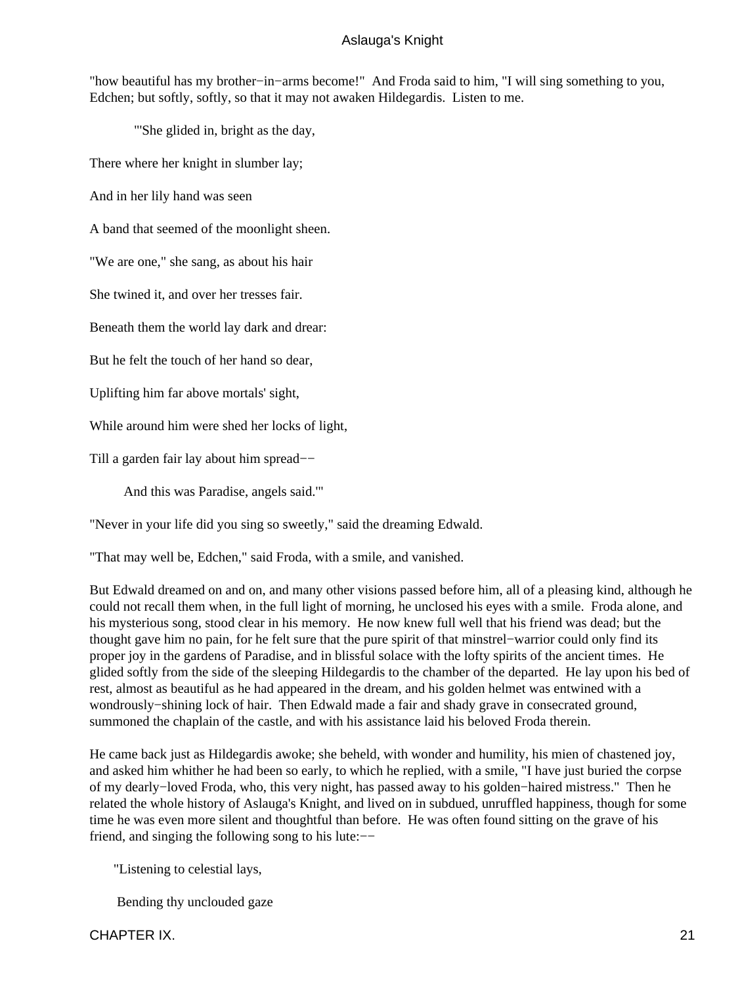"how beautiful has my brother−in−arms become!" And Froda said to him, "I will sing something to you, Edchen; but softly, softly, so that it may not awaken Hildegardis. Listen to me.

"'She glided in, bright as the day,

There where her knight in slumber lay;

And in her lily hand was seen

A band that seemed of the moonlight sheen.

"We are one," she sang, as about his hair

She twined it, and over her tresses fair.

Beneath them the world lay dark and drear:

But he felt the touch of her hand so dear,

Uplifting him far above mortals' sight,

While around him were shed her locks of light,

Till a garden fair lay about him spread−−

And this was Paradise, angels said.'"

"Never in your life did you sing so sweetly," said the dreaming Edwald.

"That may well be, Edchen," said Froda, with a smile, and vanished.

But Edwald dreamed on and on, and many other visions passed before him, all of a pleasing kind, although he could not recall them when, in the full light of morning, he unclosed his eyes with a smile. Froda alone, and his mysterious song, stood clear in his memory. He now knew full well that his friend was dead; but the thought gave him no pain, for he felt sure that the pure spirit of that minstrel−warrior could only find its proper joy in the gardens of Paradise, and in blissful solace with the lofty spirits of the ancient times. He glided softly from the side of the sleeping Hildegardis to the chamber of the departed. He lay upon his bed of rest, almost as beautiful as he had appeared in the dream, and his golden helmet was entwined with a wondrously−shining lock of hair. Then Edwald made a fair and shady grave in consecrated ground, summoned the chaplain of the castle, and with his assistance laid his beloved Froda therein.

He came back just as Hildegardis awoke; she beheld, with wonder and humility, his mien of chastened joy, and asked him whither he had been so early, to which he replied, with a smile, "I have just buried the corpse of my dearly−loved Froda, who, this very night, has passed away to his golden−haired mistress." Then he related the whole history of Aslauga's Knight, and lived on in subdued, unruffled happiness, though for some time he was even more silent and thoughtful than before. He was often found sitting on the grave of his friend, and singing the following song to his lute:−−

"Listening to celestial lays,

Bending thy unclouded gaze

CHAPTER IX. 21